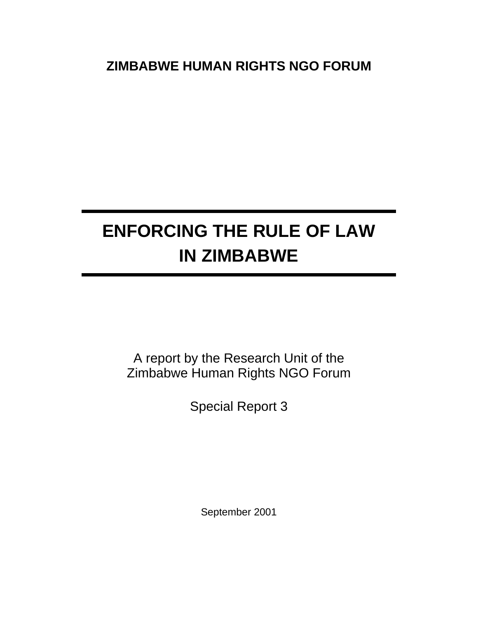**ZIMBABWE HUMAN RIGHTS NGO FORUM**

# **ENFORCING THE RULE OF LAW IN ZIMBABWE**

A report by the Research Unit of the Zimbabwe Human Rights NGO Forum

Special Report 3

September 2001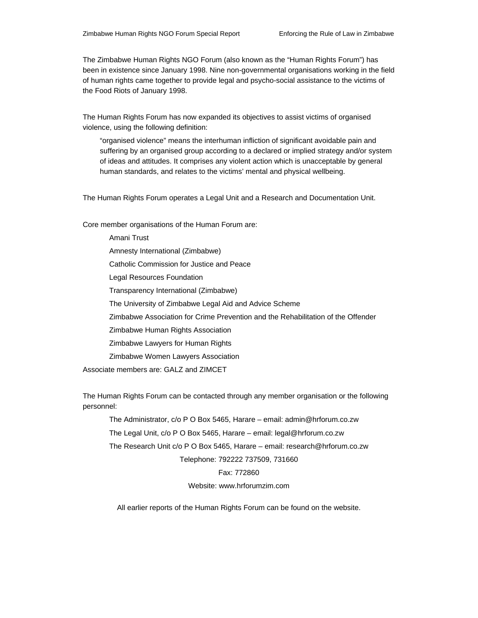The Zimbabwe Human Rights NGO Forum (also known as the "Human Rights Forum") has been in existence since January 1998. Nine non-governmental organisations working in the field of human rights came together to provide legal and psycho-social assistance to the victims of the Food Riots of January 1998.

The Human Rights Forum has now expanded its objectives to assist victims of organised violence, using the following definition:

"organised violence" means the interhuman infliction of significant avoidable pain and suffering by an organised group according to a declared or implied strategy and/or system of ideas and attitudes. It comprises any violent action which is unacceptable by general human standards, and relates to the victims' mental and physical wellbeing.

The Human Rights Forum operates a Legal Unit and a Research and Documentation Unit.

Core member organisations of the Human Forum are:

 Amani Trust Amnesty International (Zimbabwe) Catholic Commission for Justice and Peace Legal Resources Foundation Transparency International (Zimbabwe) The University of Zimbabwe Legal Aid and Advice Scheme Zimbabwe Association for Crime Prevention and the Rehabilitation of the Offender Zimbabwe Human Rights Association Zimbabwe Lawyers for Human Rights Zimbabwe Women Lawyers Association Associate members are: GALZ and ZIMCET

The Human Rights Forum can be contacted through any member organisation or the following personnel:

The Administrator, c/o P O Box 5465, Harare – email: admin@hrforum.co.zw

The Legal Unit, c/o P O Box 5465, Harare – email: legal@hrforum.co.zw

The Research Unit c/o P O Box 5465, Harare – email: research@hrforum.co.zw

Telephone: 792222 737509, 731660

#### Fax: 772860

Website: www.hrforumzim.com

All earlier reports of the Human Rights Forum can be found on the website.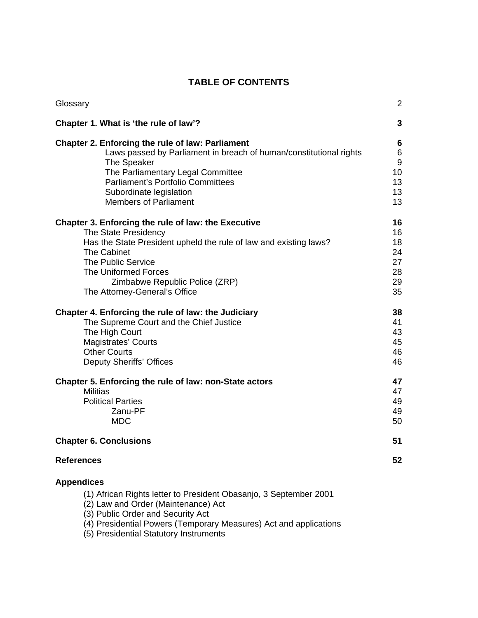## **TABLE OF CONTENTS**

| Glossary                                                                                                                                                                                                                                                                                       | 2                                            |
|------------------------------------------------------------------------------------------------------------------------------------------------------------------------------------------------------------------------------------------------------------------------------------------------|----------------------------------------------|
| Chapter 1. What is 'the rule of law'?                                                                                                                                                                                                                                                          | 3                                            |
| <b>Chapter 2. Enforcing the rule of law: Parliament</b><br>Laws passed by Parliament in breach of human/constitutional rights<br>The Speaker<br>The Parliamentary Legal Committee<br><b>Parliament's Portfolio Committees</b><br>Subordinate legislation<br><b>Members of Parliament</b>       | 6<br>6<br>9<br>10<br>13<br>13<br>13          |
| Chapter 3. Enforcing the rule of law: the Executive<br>The State Presidency<br>Has the State President upheld the rule of law and existing laws?<br><b>The Cabinet</b><br><b>The Public Service</b><br>The Uniformed Forces<br>Zimbabwe Republic Police (ZRP)<br>The Attorney-General's Office | 16<br>16<br>18<br>24<br>27<br>28<br>29<br>35 |
| Chapter 4. Enforcing the rule of law: the Judiciary<br>The Supreme Court and the Chief Justice<br>The High Court<br>Magistrates' Courts<br><b>Other Courts</b><br><b>Deputy Sheriffs' Offices</b>                                                                                              | 38<br>41<br>43<br>45<br>46<br>46             |
| Chapter 5. Enforcing the rule of law: non-State actors<br><b>Militias</b><br><b>Political Parties</b><br>Zanu-PF<br><b>MDC</b>                                                                                                                                                                 | 47<br>47<br>49<br>49<br>50                   |
| <b>Chapter 6. Conclusions</b>                                                                                                                                                                                                                                                                  | 51                                           |
| <b>References</b>                                                                                                                                                                                                                                                                              | 52                                           |
| <b>Appendices</b>                                                                                                                                                                                                                                                                              |                                              |

- (1) African Rights letter to President Obasanjo, 3 September 2001
- (2) Law and Order (Maintenance) Act
- (3) Public Order and Security Act

(4) Presidential Powers (Temporary Measures) Act and applications

(5) Presidential Statutory Instruments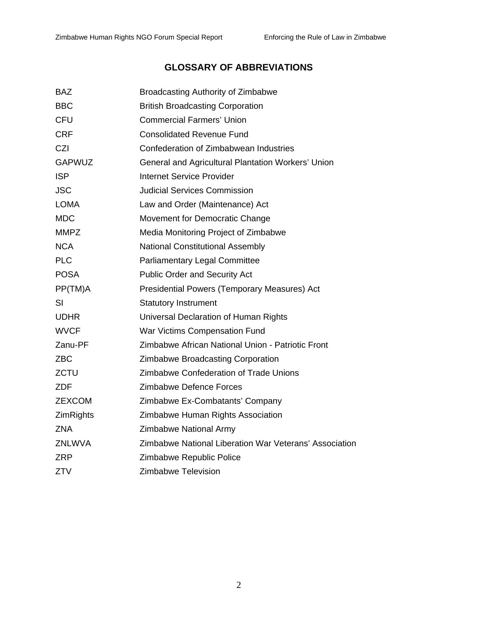# **GLOSSARY OF ABBREVIATIONS**

| <b>BAZ</b>    | Broadcasting Authority of Zimbabwe                     |  |
|---------------|--------------------------------------------------------|--|
| <b>BBC</b>    | <b>British Broadcasting Corporation</b>                |  |
| <b>CFU</b>    | <b>Commercial Farmers' Union</b>                       |  |
| <b>CRF</b>    | <b>Consolidated Revenue Fund</b>                       |  |
| CZI           | Confederation of Zimbabwean Industries                 |  |
| <b>GAPWUZ</b> | General and Agricultural Plantation Workers' Union     |  |
| <b>ISP</b>    | <b>Internet Service Provider</b>                       |  |
| <b>JSC</b>    | <b>Judicial Services Commission</b>                    |  |
| <b>LOMA</b>   | Law and Order (Maintenance) Act                        |  |
| <b>MDC</b>    | Movement for Democratic Change                         |  |
| <b>MMPZ</b>   | Media Monitoring Project of Zimbabwe                   |  |
| <b>NCA</b>    | <b>National Constitutional Assembly</b>                |  |
| <b>PLC</b>    | <b>Parliamentary Legal Committee</b>                   |  |
| <b>POSA</b>   | <b>Public Order and Security Act</b>                   |  |
| PP(TM)A       | Presidential Powers (Temporary Measures) Act           |  |
| SI            | <b>Statutory Instrument</b>                            |  |
| <b>UDHR</b>   | Universal Declaration of Human Rights                  |  |
| <b>WVCF</b>   | War Victims Compensation Fund                          |  |
| Zanu-PF       | Zimbabwe African National Union - Patriotic Front      |  |
| <b>ZBC</b>    | <b>Zimbabwe Broadcasting Corporation</b>               |  |
| <b>ZCTU</b>   | Zimbabwe Confederation of Trade Unions                 |  |
| <b>ZDF</b>    | Zimbabwe Defence Forces                                |  |
| <b>ZEXCOM</b> | Zimbabwe Ex-Combatants' Company                        |  |
| ZimRights     | Zimbabwe Human Rights Association                      |  |
| <b>ZNA</b>    | Zimbabwe National Army                                 |  |
| ZNLWVA        | Zimbabwe National Liberation War Veterans' Association |  |
| <b>ZRP</b>    | Zimbabwe Republic Police                               |  |
| ZTV           | <b>Zimbabwe Television</b>                             |  |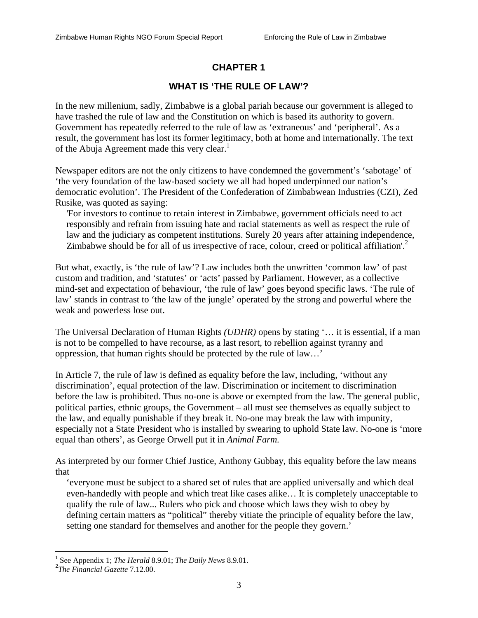# **CHAPTER 1**

# **WHAT IS 'THE RULE OF LAW'?**

In the new millenium, sadly, Zimbabwe is a global pariah because our government is alleged to have trashed the rule of law and the Constitution on which is based its authority to govern. Government has repeatedly referred to the rule of law as 'extraneous' and 'peripheral'. As a result, the government has lost its former legitimacy, both at home and internationally. The text of the Abuja Agreement made this very clear.<sup>1</sup>

Newspaper editors are not the only citizens to have condemned the government's 'sabotage' of 'the very foundation of the law-based society we all had hoped underpinned our nation's democratic evolution'. The President of the Confederation of Zimbabwean Industries (CZI), Zed Rusike, was quoted as saying:

'For investors to continue to retain interest in Zimbabwe, government officials need to act responsibly and refrain from issuing hate and racial statements as well as respect the rule of law and the judiciary as competent institutions. Surely 20 years after attaining independence, Zimbabwe should be for all of us irrespective of race, colour, creed or political affiliation'.<sup>2</sup>

But what, exactly, is 'the rule of law'? Law includes both the unwritten 'common law' of past custom and tradition, and 'statutes' or 'acts' passed by Parliament. However, as a collective mind-set and expectation of behaviour, 'the rule of law' goes beyond specific laws. 'The rule of law' stands in contrast to 'the law of the jungle' operated by the strong and powerful where the weak and powerless lose out.

The Universal Declaration of Human Rights *(UDHR)* opens by stating '… it is essential, if a man is not to be compelled to have recourse, as a last resort, to rebellion against tyranny and oppression, that human rights should be protected by the rule of law…'

In Article 7, the rule of law is defined as equality before the law, including, 'without any discrimination', equal protection of the law. Discrimination or incitement to discrimination before the law is prohibited. Thus no-one is above or exempted from the law. The general public, political parties, ethnic groups, the Government – all must see themselves as equally subject to the law, and equally punishable if they break it. No-one may break the law with impunity, especially not a State President who is installed by swearing to uphold State law. No-one is 'more equal than others', as George Orwell put it in *Animal Farm.*

As interpreted by our former Chief Justice, Anthony Gubbay, this equality before the law means that

'everyone must be subject to a shared set of rules that are applied universally and which deal even-handedly with people and which treat like cases alike… It is completely unacceptable to qualify the rule of law... Rulers who pick and choose which laws they wish to obey by defining certain matters as "political" thereby vitiate the principle of equality before the law, setting one standard for themselves and another for the people they govern.'

<sup>1</sup> See Appendix 1; *The Herald* 8.9.01; *The Daily News* 8.9.01.

<sup>2</sup> *The Financial Gazette* 7.12.00.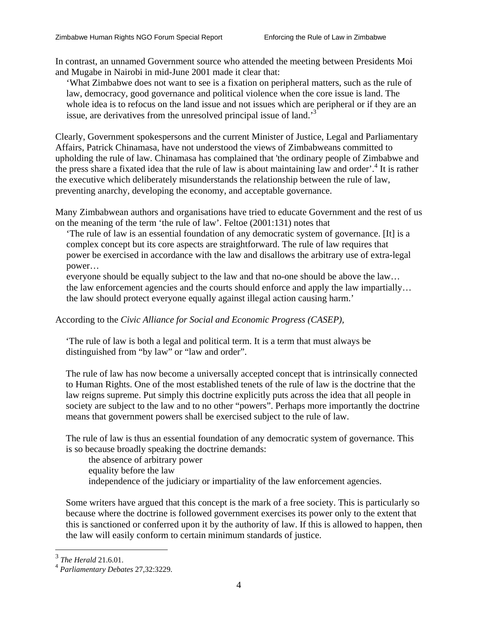In contrast, an unnamed Government source who attended the meeting between Presidents Moi and Mugabe in Nairobi in mid-June 2001 made it clear that:

'What Zimbabwe does not want to see is a fixation on peripheral matters, such as the rule of law, democracy, good governance and political violence when the core issue is land. The whole idea is to refocus on the land issue and not issues which are peripheral or if they are an issue, are derivatives from the unresolved principal issue of land.<sup>3</sup>

Clearly, Government spokespersons and the current Minister of Justice, Legal and Parliamentary Affairs, Patrick Chinamasa, have not understood the views of Zimbabweans committed to upholding the rule of law. Chinamasa has complained that 'the ordinary people of Zimbabwe and the press share a fixated idea that the rule of law is about maintaining law and order'.<sup>4</sup> It is rather the executive which deliberately misunderstands the relationship between the rule of law, preventing anarchy, developing the economy, and acceptable governance.

Many Zimbabwean authors and organisations have tried to educate Government and the rest of us on the meaning of the term 'the rule of law'. Feltoe (2001:131) notes that

'The rule of law is an essential foundation of any democratic system of governance. [It] is a complex concept but its core aspects are straightforward. The rule of law requires that power be exercised in accordance with the law and disallows the arbitrary use of extra-legal power…

everyone should be equally subject to the law and that no-one should be above the law… the law enforcement agencies and the courts should enforce and apply the law impartially… the law should protect everyone equally against illegal action causing harm.'

According to the *Civic Alliance for Social and Economic Progress (CASEP),*

'The rule of law is both a legal and political term. It is a term that must always be distinguished from "by law" or "law and order".

The rule of law has now become a universally accepted concept that is intrinsically connected to Human Rights. One of the most established tenets of the rule of law is the doctrine that the law reigns supreme. Put simply this doctrine explicitly puts across the idea that all people in society are subject to the law and to no other "powers". Perhaps more importantly the doctrine means that government powers shall be exercised subject to the rule of law.

The rule of law is thus an essential foundation of any democratic system of governance. This is so because broadly speaking the doctrine demands:

the absence of arbitrary power equality before the law independence of the judiciary or impartiality of the law enforcement agencies.

Some writers have argued that this concept is the mark of a free society. This is particularly so because where the doctrine is followed government exercises its power only to the extent that this is sanctioned or conferred upon it by the authority of law. If this is allowed to happen, then the law will easily conform to certain minimum standards of justice.

<sup>3</sup> *The Herald* 21.6.01.

<sup>4</sup> *Parliamentary Debates* 27,32:3229.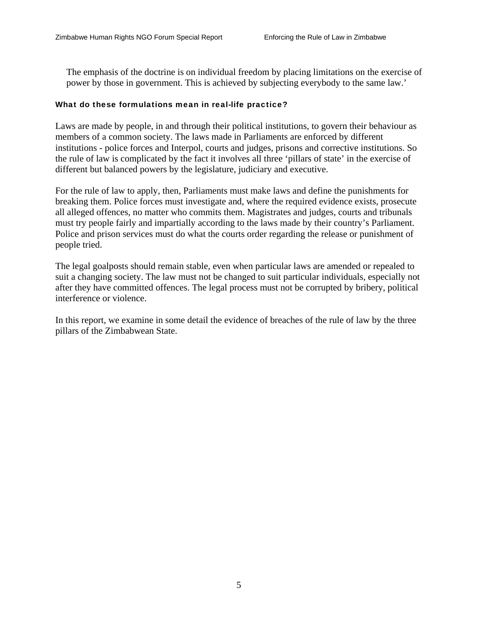The emphasis of the doctrine is on individual freedom by placing limitations on the exercise of power by those in government. This is achieved by subjecting everybody to the same law.'

#### What do these formulations mean in real-life practice?

Laws are made by people, in and through their political institutions, to govern their behaviour as members of a common society. The laws made in Parliaments are enforced by different institutions - police forces and Interpol, courts and judges, prisons and corrective institutions. So the rule of law is complicated by the fact it involves all three 'pillars of state' in the exercise of different but balanced powers by the legislature, judiciary and executive.

For the rule of law to apply, then, Parliaments must make laws and define the punishments for breaking them. Police forces must investigate and, where the required evidence exists, prosecute all alleged offences, no matter who commits them. Magistrates and judges, courts and tribunals must try people fairly and impartially according to the laws made by their country's Parliament. Police and prison services must do what the courts order regarding the release or punishment of people tried.

The legal goalposts should remain stable, even when particular laws are amended or repealed to suit a changing society. The law must not be changed to suit particular individuals, especially not after they have committed offences. The legal process must not be corrupted by bribery, political interference or violence.

In this report, we examine in some detail the evidence of breaches of the rule of law by the three pillars of the Zimbabwean State.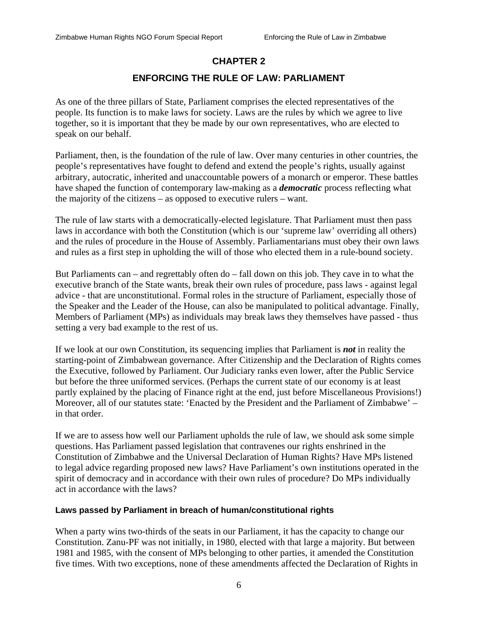# **CHAPTER 2**

# **ENFORCING THE RULE OF LAW: PARLIAMENT**

As one of the three pillars of State, Parliament comprises the elected representatives of the people. Its function is to make laws for society. Laws are the rules by which we agree to live together, so it is important that they be made by our own representatives, who are elected to speak on our behalf.

Parliament, then, is the foundation of the rule of law. Over many centuries in other countries, the people's representatives have fought to defend and extend the people's rights, usually against arbitrary, autocratic, inherited and unaccountable powers of a monarch or emperor. These battles have shaped the function of contemporary law-making as a *democratic* process reflecting what the majority of the citizens – as opposed to executive rulers – want.

The rule of law starts with a democratically-elected legislature. That Parliament must then pass laws in accordance with both the Constitution (which is our 'supreme law' overriding all others) and the rules of procedure in the House of Assembly. Parliamentarians must obey their own laws and rules as a first step in upholding the will of those who elected them in a rule-bound society.

But Parliaments can – and regrettably often do – fall down on this job. They cave in to what the executive branch of the State wants, break their own rules of procedure, pass laws - against legal advice - that are unconstitutional. Formal roles in the structure of Parliament, especially those of the Speaker and the Leader of the House, can also be manipulated to political advantage. Finally, Members of Parliament (MPs) as individuals may break laws they themselves have passed - thus setting a very bad example to the rest of us.

If we look at our own Constitution, its sequencing implies that Parliament is *not* in reality the starting-point of Zimbabwean governance. After Citizenship and the Declaration of Rights comes the Executive, followed by Parliament. Our Judiciary ranks even lower, after the Public Service but before the three uniformed services. (Perhaps the current state of our economy is at least partly explained by the placing of Finance right at the end, just before Miscellaneous Provisions!) Moreover, all of our statutes state: 'Enacted by the President and the Parliament of Zimbabwe' – in that order.

If we are to assess how well our Parliament upholds the rule of law, we should ask some simple questions. Has Parliament passed legislation that contravenes our rights enshrined in the Constitution of Zimbabwe and the Universal Declaration of Human Rights? Have MPs listened to legal advice regarding proposed new laws? Have Parliament's own institutions operated in the spirit of democracy and in accordance with their own rules of procedure? Do MPs individually act in accordance with the laws?

## **Laws passed by Parliament in breach of human/constitutional rights**

When a party wins two-thirds of the seats in our Parliament, it has the capacity to change our Constitution. Zanu-PF was not initially, in 1980, elected with that large a majority. But between 1981 and 1985, with the consent of MPs belonging to other parties, it amended the Constitution five times. With two exceptions, none of these amendments affected the Declaration of Rights in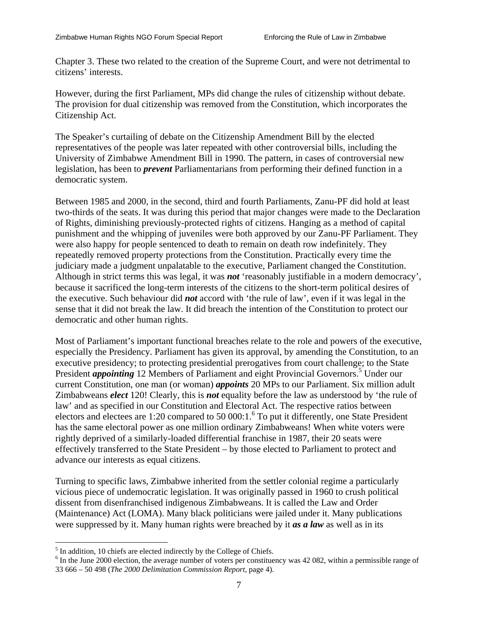Chapter 3. These two related to the creation of the Supreme Court, and were not detrimental to citizens' interests.

However, during the first Parliament, MPs did change the rules of citizenship without debate. The provision for dual citizenship was removed from the Constitution, which incorporates the Citizenship Act.

The Speaker's curtailing of debate on the Citizenship Amendment Bill by the elected representatives of the people was later repeated with other controversial bills, including the University of Zimbabwe Amendment Bill in 1990. The pattern, in cases of controversial new legislation, has been to *prevent* Parliamentarians from performing their defined function in a democratic system.

Between 1985 and 2000, in the second, third and fourth Parliaments, Zanu-PF did hold at least two-thirds of the seats. It was during this period that major changes were made to the Declaration of Rights, diminishing previously-protected rights of citizens. Hanging as a method of capital punishment and the whipping of juveniles were both approved by our Zanu-PF Parliament. They were also happy for people sentenced to death to remain on death row indefinitely. They repeatedly removed property protections from the Constitution. Practically every time the judiciary made a judgment unpalatable to the executive, Parliament changed the Constitution. Although in strict terms this was legal, it was *not* 'reasonably justifiable in a modern democracy', because it sacrificed the long-term interests of the citizens to the short-term political desires of the executive. Such behaviour did *not* accord with 'the rule of law', even if it was legal in the sense that it did not break the law. It did breach the intention of the Constitution to protect our democratic and other human rights.

Most of Parliament's important functional breaches relate to the role and powers of the executive, especially the Presidency. Parliament has given its approval, by amending the Constitution, to an executive presidency; to protecting presidential prerogatives from court challenge; to the State President *appointing* 12 Members of Parliament and eight Provincial Governors.<sup>5</sup> Under our current Constitution, one man (or woman) *appoints* 20 MPs to our Parliament. Six million adult Zimbabweans *elect* 120! Clearly, this is *not* equality before the law as understood by 'the rule of law' and as specified in our Constitution and Electoral Act. The respective ratios between electors and electees are 1:20 compared to 50 000:1.<sup>6</sup> To put it differently, one State President has the same electoral power as one million ordinary Zimbabweans! When white voters were rightly deprived of a similarly-loaded differential franchise in 1987, their 20 seats were effectively transferred to the State President – by those elected to Parliament to protect and advance our interests as equal citizens.

Turning to specific laws, Zimbabwe inherited from the settler colonial regime a particularly vicious piece of undemocratic legislation. It was originally passed in 1960 to crush political dissent from disenfranchised indigenous Zimbabweans. It is called the Law and Order (Maintenance) Act (LOMA). Many black politicians were jailed under it. Many publications were suppressed by it. Many human rights were breached by it *as a law* as well as in its

 $^5$  In addition, 10 chiefs are elected indirectly by the College of Chiefs.

 $6$  In the June 2000 election, the average number of voters per constituency was 42 082, within a permissible range of 33 666 – 50 498 (*The 2000 Delimitation Commission Report,* page 4).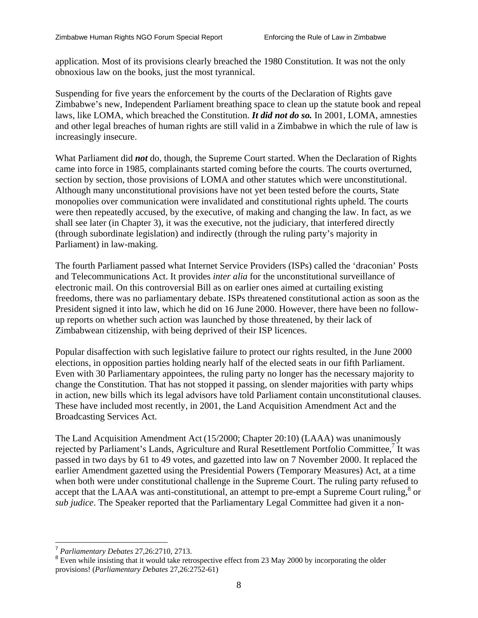application. Most of its provisions clearly breached the 1980 Constitution. It was not the only obnoxious law on the books, just the most tyrannical.

Suspending for five years the enforcement by the courts of the Declaration of Rights gave Zimbabwe's new, Independent Parliament breathing space to clean up the statute book and repeal laws, like LOMA, which breached the Constitution. *It did not do so.* In 2001, LOMA, amnesties and other legal breaches of human rights are still valid in a Zimbabwe in which the rule of law is increasingly insecure.

What Parliament did *not* do, though, the Supreme Court started. When the Declaration of Rights came into force in 1985, complainants started coming before the courts. The courts overturned, section by section, those provisions of LOMA and other statutes which were unconstitutional. Although many unconstitutional provisions have not yet been tested before the courts, State monopolies over communication were invalidated and constitutional rights upheld. The courts were then repeatedly accused, by the executive, of making and changing the law. In fact, as we shall see later (in Chapter 3), it was the executive, not the judiciary, that interfered directly (through subordinate legislation) and indirectly (through the ruling party's majority in Parliament) in law-making.

The fourth Parliament passed what Internet Service Providers (ISPs) called the 'draconian' Posts and Telecommunications Act. It provides *inter alia* for the unconstitutional surveillance of electronic mail. On this controversial Bill as on earlier ones aimed at curtailing existing freedoms, there was no parliamentary debate. ISPs threatened constitutional action as soon as the President signed it into law, which he did on 16 June 2000. However, there have been no followup reports on whether such action was launched by those threatened, by their lack of Zimbabwean citizenship, with being deprived of their ISP licences.

Popular disaffection with such legislative failure to protect our rights resulted, in the June 2000 elections, in opposition parties holding nearly half of the elected seats in our fifth Parliament. Even with 30 Parliamentary appointees, the ruling party no longer has the necessary majority to change the Constitution. That has not stopped it passing, on slender majorities with party whips in action, new bills which its legal advisors have told Parliament contain unconstitutional clauses. These have included most recently, in 2001, the Land Acquisition Amendment Act and the Broadcasting Services Act.

The Land Acquisition Amendment Act (15/2000; Chapter 20:10) (LAAA) was unanimously rejected by Parliament's Lands, Agriculture and Rural Resettlement Portfolio Committee,<sup>7</sup> It was passed in two days by 61 to 49 votes, and gazetted into law on 7 November 2000. It replaced the earlier Amendment gazetted using the Presidential Powers (Temporary Measures) Act, at a time when both were under constitutional challenge in the Supreme Court. The ruling party refused to accept that the LAAA was anti-constitutional, an attempt to pre-empt a Supreme Court ruling, $\delta$  or *sub judice*. The Speaker reported that the Parliamentary Legal Committee had given it a non-

<sup>7</sup> *Parliamentary Debates* 27,26:2710, 2713.

<sup>&</sup>lt;sup>8</sup> Even while insisting that it would take retrospective effect from 23 May 2000 by incorporating the older provisions! (*Parliamentary Debates* 27,26:2752-61)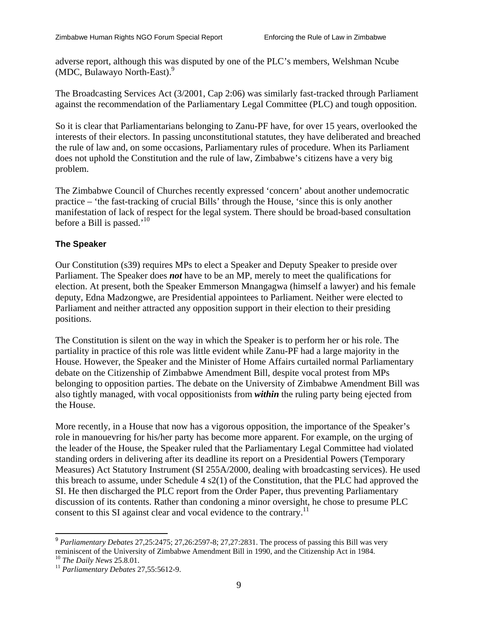adverse report, although this was disputed by one of the PLC's members, Welshman Ncube (MDC, Bulawayo North-East).<sup>9</sup>

The Broadcasting Services Act (3/2001, Cap 2:06) was similarly fast-tracked through Parliament against the recommendation of the Parliamentary Legal Committee (PLC) and tough opposition.

So it is clear that Parliamentarians belonging to Zanu-PF have, for over 15 years, overlooked the interests of their electors. In passing unconstitutional statutes, they have deliberated and breached the rule of law and, on some occasions, Parliamentary rules of procedure. When its Parliament does not uphold the Constitution and the rule of law, Zimbabwe's citizens have a very big problem.

The Zimbabwe Council of Churches recently expressed 'concern' about another undemocratic practice – 'the fast-tracking of crucial Bills' through the House, 'since this is only another manifestation of lack of respect for the legal system. There should be broad-based consultation before a Bill is passed.<sup>'10</sup>

## **The Speaker**

Our Constitution (s39) requires MPs to elect a Speaker and Deputy Speaker to preside over Parliament. The Speaker does *not* have to be an MP, merely to meet the qualifications for election. At present, both the Speaker Emmerson Mnangagwa (himself a lawyer) and his female deputy, Edna Madzongwe, are Presidential appointees to Parliament. Neither were elected to Parliament and neither attracted any opposition support in their election to their presiding positions.

The Constitution is silent on the way in which the Speaker is to perform her or his role. The partiality in practice of this role was little evident while Zanu-PF had a large majority in the House. However, the Speaker and the Minister of Home Affairs curtailed normal Parliamentary debate on the Citizenship of Zimbabwe Amendment Bill, despite vocal protest from MPs belonging to opposition parties. The debate on the University of Zimbabwe Amendment Bill was also tightly managed, with vocal oppositionists from *within* the ruling party being ejected from the House.

More recently, in a House that now has a vigorous opposition, the importance of the Speaker's role in manouevring for his/her party has become more apparent. For example, on the urging of the leader of the House, the Speaker ruled that the Parliamentary Legal Committee had violated standing orders in delivering after its deadline its report on a Presidential Powers (Temporary Measures) Act Statutory Instrument (SI 255A/2000, dealing with broadcasting services). He used this breach to assume, under Schedule 4 s2(1) of the Constitution, that the PLC had approved the SI. He then discharged the PLC report from the Order Paper, thus preventing Parliamentary discussion of its contents. Rather than condoning a minor oversight, he chose to presume PLC consent to this SI against clear and vocal evidence to the contrary.<sup>11</sup>

 $\overline{\phantom{a}}$ 

<sup>9</sup> *Parliamentary Debates* 27,25:2475; 27,26:2597-8; 27,27:2831. The process of passing this Bill was very reminiscent of the University of Zimbabwe Amendment Bill in 1990, and the Citizenship Act in 1984.<br><sup>10</sup> The Daily News 25.8.01.

<sup>10</sup> *The Daily News* 25.8.01. 11 *Parliamentary Debates* 27,55:5612-9.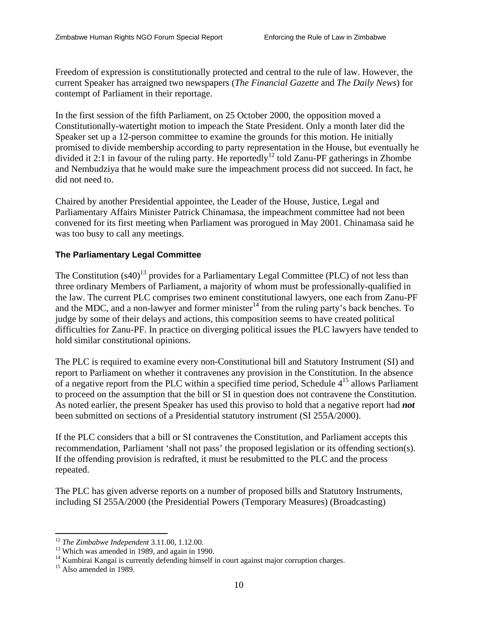Freedom of expression is constitutionally protected and central to the rule of law. However, the current Speaker has arraigned two newspapers (*The Financial Gazette* and *The Daily News*) for contempt of Parliament in their reportage.

In the first session of the fifth Parliament, on 25 October 2000, the opposition moved a Constitutionally-watertight motion to impeach the State President. Only a month later did the Speaker set up a 12-person committee to examine the grounds for this motion. He initially promised to divide membership according to party representation in the House, but eventually he divided it 2:1 in favour of the ruling party. He reportedly<sup>12</sup> told Zanu-PF gatherings in Zhombe and Nembudziya that he would make sure the impeachment process did not succeed. In fact, he did not need to.

Chaired by another Presidential appointee, the Leader of the House, Justice, Legal and Parliamentary Affairs Minister Patrick Chinamasa, the impeachment committee had not been convened for its first meeting when Parliament was prorogued in May 2001. Chinamasa said he was too busy to call any meetings.

# **The Parliamentary Legal Committee**

The Constitution  $(s40)^{13}$  provides for a Parliamentary Legal Committee (PLC) of not less than three ordinary Members of Parliament, a majority of whom must be professionally-qualified in the law. The current PLC comprises two eminent constitutional lawyers, one each from Zanu-PF and the MDC, and a non-lawyer and former minister<sup>14</sup> from the ruling party's back benches. To judge by some of their delays and actions, this composition seems to have created political difficulties for Zanu-PF. In practice on diverging political issues the PLC lawyers have tended to hold similar constitutional opinions.

The PLC is required to examine every non-Constitutional bill and Statutory Instrument (SI) and report to Parliament on whether it contravenes any provision in the Constitution. In the absence of a negative report from the PLC within a specified time period, Schedule 4<sup>15</sup> allows Parliament to proceed on the assumption that the bill or SI in question does not contravene the Constitution. As noted earlier, the present Speaker has used this proviso to hold that a negative report had *not* been submitted on sections of a Presidential statutory instrument (SI 255A/2000).

If the PLC considers that a bill or SI contravenes the Constitution, and Parliament accepts this recommendation, Parliament 'shall not pass' the proposed legislation or its offending section(s). If the offending provision is redrafted, it must be resubmitted to the PLC and the process repeated.

The PLC has given adverse reports on a number of proposed bills and Statutory Instruments, including SI 255A/2000 (the Presidential Powers (Temporary Measures) (Broadcasting)

<sup>&</sup>lt;sup>12</sup> *The Zimbabwe Independent* 3.11.00, 1.12.00.<sup>13</sup> Which was amended in 1989, and again in 1990.

<sup>&</sup>lt;sup>14</sup> Kumbirai Kangai is currently defending himself in court against major corruption charges.<br><sup>15</sup> Also amended in 1989.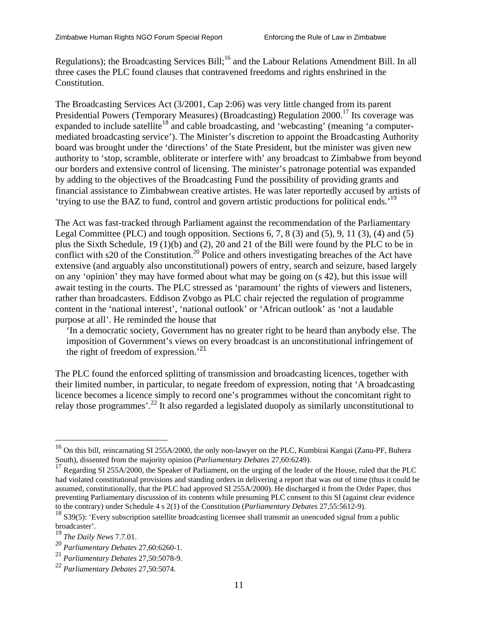Regulations); the Broadcasting Services Bill;<sup>16</sup> and the Labour Relations Amendment Bill. In all three cases the PLC found clauses that contravened freedoms and rights enshrined in the Constitution.

The Broadcasting Services Act (3/2001, Cap 2:06) was very little changed from its parent Presidential Powers (Temporary Measures) (Broadcasting) Regulation 2000.<sup>17</sup> Its coverage was expanded to include satellite<sup>18</sup> and cable broadcasting, and 'webcasting' (meaning 'a computermediated broadcasting service'). The Minister's discretion to appoint the Broadcasting Authority board was brought under the 'directions' of the State President, but the minister was given new authority to 'stop, scramble, obliterate or interfere with' any broadcast to Zimbabwe from beyond our borders and extensive control of licensing. The minister's patronage potential was expanded by adding to the objectives of the Broadcasting Fund the possibility of providing grants and financial assistance to Zimbabwean creative artistes. He was later reportedly accused by artists of 'trying to use the BAZ to fund, control and govern artistic productions for political ends.'19

The Act was fast-tracked through Parliament against the recommendation of the Parliamentary Legal Committee (PLC) and tough opposition. Sections 6, 7, 8 (3) and (5), 9, 11 (3), (4) and (5) plus the Sixth Schedule, 19 (1)(b) and (2), 20 and 21 of the Bill were found by the PLC to be in conflict with s20 of the Constitution.<sup>20</sup> Police and others investigating breaches of the Act have extensive (and arguably also unconstitutional) powers of entry, search and seizure, based largely on any 'opinion' they may have formed about what may be going on (s 42), but this issue will await testing in the courts. The PLC stressed as 'paramount' the rights of viewers and listeners, rather than broadcasters. Eddison Zvobgo as PLC chair rejected the regulation of programme content in the 'national interest', 'national outlook' or 'African outlook' as 'not a laudable purpose at all'. He reminded the house that

'In a democratic society, Government has no greater right to be heard than anybody else. The imposition of Government's views on every broadcast is an unconstitutional infringement of the right of freedom of expression.<sup>21</sup>

The PLC found the enforced splitting of transmission and broadcasting licences, together with their limited number, in particular, to negate freedom of expression, noting that 'A broadcasting licence becomes a licence simply to record one's programmes without the concomitant right to relay those programmes'.22 It also regarded a legislated duopoly as similarly unconstitutional to

<sup>&</sup>lt;sup>16</sup> On this bill, reincarnating SI 255A/2000, the only non-lawyer on the PLC, Kumbirai Kangai (Zanu-PF, Buhera South), dissented from the majority opinion (*Parliamentary Debates* 27,60:6249).

 $17$  Regarding SI 255A/2000, the Speaker of Parliament, on the urging of the leader of the House, ruled that the PLC had violated constitutional provisions and standing orders in delivering a report that was out of time (thus it could be assumed, constitutionally, that the PLC had approved SI 255A/2000). He discharged it from the Order Paper, thus preventing Parliamentary discussion of its contents while presuming PLC consent to this SI (against clear evidence to the contrary) under Schedule 4 s 2(1) of the Constitution (*Parliamentary Debates* 27,55:5612-9).

<sup>&</sup>lt;sup>18</sup> S39(5): 'Every subscription satellite broadcasting licensee shall transmit an unencoded signal from a public broadcaster'.

<sup>19</sup> *The Daily News* 7.7.01.

<sup>20</sup> *Parliamentary Debates* 27,60:6260-1.

<sup>21</sup> *Parliamentary Debates* 27,50:5078-9.

<sup>22</sup> *Parliamentary Debates* 27,50:5074.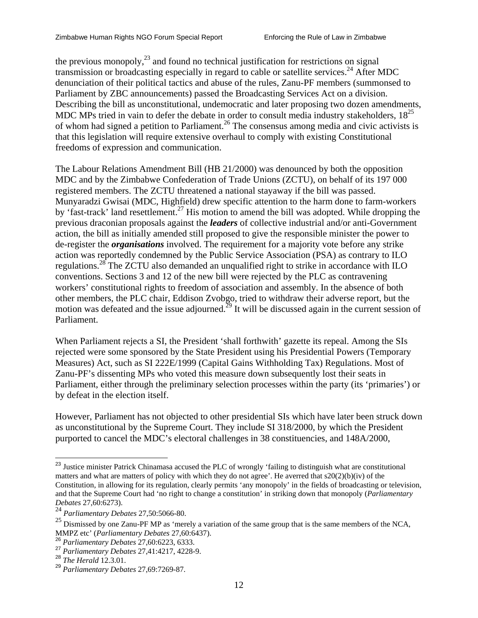the previous monopoly, $^{23}$  and found no technical justification for restrictions on signal transmission or broadcasting especially in regard to cable or satellite services.<sup>24</sup> After MDC denunciation of their political tactics and abuse of the rules, Zanu-PF members (summonsed to Parliament by ZBC announcements) passed the Broadcasting Services Act on a division. Describing the bill as unconstitutional, undemocratic and later proposing two dozen amendments, MDC MPs tried in vain to defer the debate in order to consult media industry stakeholders,  $18^{25}$ of whom had signed a petition to Parliament.<sup>26</sup> The consensus among media and civic activists is that this legislation will require extensive overhaul to comply with existing Constitutional freedoms of expression and communication.

The Labour Relations Amendment Bill (HB 21/2000) was denounced by both the opposition MDC and by the Zimbabwe Confederation of Trade Unions (ZCTU), on behalf of its 197 000 registered members. The ZCTU threatened a national stayaway if the bill was passed. Munyaradzi Gwisai (MDC, Highfield) drew specific attention to the harm done to farm-workers by 'fast-track' land resettlement.<sup>27</sup> His motion to amend the bill was adopted. While dropping the previous draconian proposals against the *leaders* of collective industrial and/or anti-Government action, the bill as initially amended still proposed to give the responsible minister the power to de-register the *organisations* involved. The requirement for a majority vote before any strike action was reportedly condemned by the Public Service Association (PSA) as contrary to ILO regulations.<sup>28</sup> The ZCTU also demanded an unqualified right to strike in accordance with ILO conventions. Sections 3 and 12 of the new bill were rejected by the PLC as contravening workers' constitutional rights to freedom of association and assembly. In the absence of both other members, the PLC chair, Eddison Zvobgo, tried to withdraw their adverse report, but the motion was defeated and the issue adjourned.<sup>29</sup> It will be discussed again in the current session of Parliament.

When Parliament rejects a SI, the President 'shall forthwith' gazette its repeal. Among the SIs rejected were some sponsored by the State President using his Presidential Powers (Temporary Measures) Act, such as SI 222E/1999 (Capital Gains Withholding Tax) Regulations. Most of Zanu-PF's dissenting MPs who voted this measure down subsequently lost their seats in Parliament, either through the preliminary selection processes within the party (its 'primaries') or by defeat in the election itself.

However, Parliament has not objected to other presidential SIs which have later been struck down as unconstitutional by the Supreme Court. They include SI 318/2000, by which the President purported to cancel the MDC's electoral challenges in 38 constituencies, and 148A/2000,

 $\overline{\phantom{a}}$ 

 $^{23}$  Justice minister Patrick Chinamasa accused the PLC of wrongly 'failing to distinguish what are constitutional matters and what are matters of policy with which they do not agree'. He averred that  $s20(2)(b)(iv)$  of the Constitution, in allowing for its regulation, clearly permits 'any monopoly' in the fields of broadcasting or television, and that the Supreme Court had 'no right to change a constitution' in striking down that monopoly (*Parliamentary Debates* 27,60:6273).

<sup>24</sup> *Parliamentary Debates* 27,50:5066-80.

<sup>&</sup>lt;sup>25</sup> Dismissed by one Zanu-PF MP as 'merely a variation of the same group that is the same members of the NCA, MMPZ etc' (*Parliamentary Debates* 27,60:6437).

<sup>26</sup> *Parliamentary Debates* 27,60:6223, 6333.

<sup>27</sup> *Parliamentary Debates* 27,41:4217, 4228-9.

<sup>28</sup> *The Herald* 12.3.01.

<sup>29</sup> *Parliamentary Debates* 27,69:7269-87.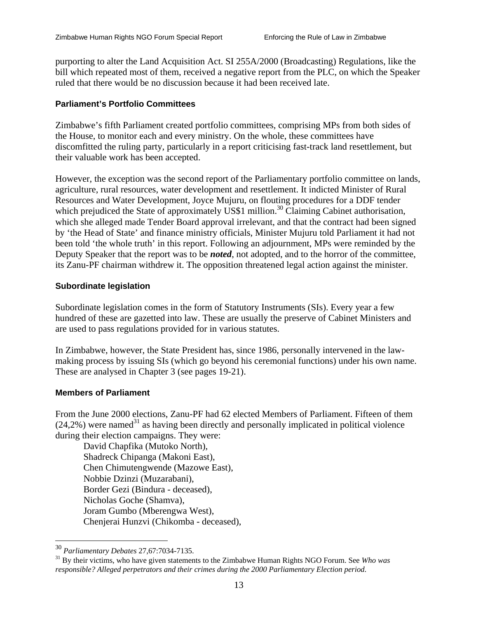purporting to alter the Land Acquisition Act. SI 255A/2000 (Broadcasting) Regulations, like the bill which repeated most of them, received a negative report from the PLC, on which the Speaker ruled that there would be no discussion because it had been received late.

## **Parliament's Portfolio Committees**

Zimbabwe's fifth Parliament created portfolio committees, comprising MPs from both sides of the House, to monitor each and every ministry. On the whole, these committees have discomfitted the ruling party, particularly in a report criticising fast-track land resettlement, but their valuable work has been accepted.

However, the exception was the second report of the Parliamentary portfolio committee on lands, agriculture, rural resources, water development and resettlement. It indicted Minister of Rural Resources and Water Development, Joyce Mujuru, on flouting procedures for a DDF tender which prejudiced the State of approximately US\$1 million.<sup>30</sup> Claiming Cabinet authorisation, which she alleged made Tender Board approval irrelevant, and that the contract had been signed by 'the Head of State' and finance ministry officials, Minister Mujuru told Parliament it had not been told 'the whole truth' in this report. Following an adjournment, MPs were reminded by the Deputy Speaker that the report was to be *noted*, not adopted, and to the horror of the committee, its Zanu-PF chairman withdrew it. The opposition threatened legal action against the minister.

## **Subordinate legislation**

Subordinate legislation comes in the form of Statutory Instruments (SIs). Every year a few hundred of these are gazetted into law. These are usually the preserve of Cabinet Ministers and are used to pass regulations provided for in various statutes.

In Zimbabwe, however, the State President has, since 1986, personally intervened in the lawmaking process by issuing SIs (which go beyond his ceremonial functions) under his own name. These are analysed in Chapter 3 (see pages 19-21).

## **Members of Parliament**

From the June 2000 elections, Zanu-PF had 62 elected Members of Parliament. Fifteen of them  $(24,2%)$  were named<sup>31</sup> as having been directly and personally implicated in political violence during their election campaigns. They were:

David Chapfika (Mutoko North), Shadreck Chipanga (Makoni East), Chen Chimutengwende (Mazowe East), Nobbie Dzinzi (Muzarabani), Border Gezi (Bindura - deceased), Nicholas Goche (Shamva), Joram Gumbo (Mberengwa West), Chenjerai Hunzvi (Chikomba - deceased),

<sup>30</sup> *Parliamentary Debates* 27,67:7034-7135.

<sup>31</sup> By their victims, who have given statements to the Zimbabwe Human Rights NGO Forum. See *Who was responsible? Alleged perpetrators and their crimes during the 2000 Parliamentary Election period.*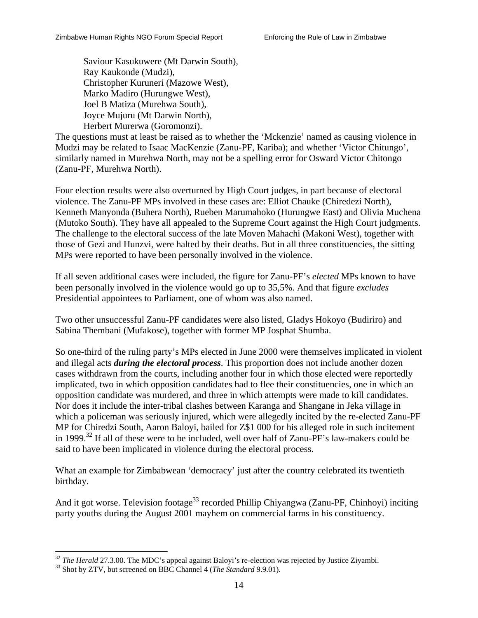Saviour Kasukuwere (Mt Darwin South), Ray Kaukonde (Mudzi), Christopher Kuruneri (Mazowe West), Marko Madiro (Hurungwe West), Joel B Matiza (Murehwa South), Joyce Mujuru (Mt Darwin North), Herbert Murerwa (Goromonzi).

The questions must at least be raised as to whether the 'Mckenzie' named as causing violence in Mudzi may be related to Isaac MacKenzie (Zanu-PF, Kariba); and whether 'Victor Chitungo', similarly named in Murehwa North, may not be a spelling error for Osward Victor Chitongo (Zanu-PF, Murehwa North).

Four election results were also overturned by High Court judges, in part because of electoral violence. The Zanu-PF MPs involved in these cases are: Elliot Chauke (Chiredezi North), Kenneth Manyonda (Buhera North), Rueben Marumahoko (Hurungwe East) and Olivia Muchena (Mutoko South). They have all appealed to the Supreme Court against the High Court judgments. The challenge to the electoral success of the late Moven Mahachi (Makoni West), together with those of Gezi and Hunzvi, were halted by their deaths. But in all three constituencies, the sitting MPs were reported to have been personally involved in the violence.

If all seven additional cases were included, the figure for Zanu-PF's *elected* MPs known to have been personally involved in the violence would go up to 35,5%. And that figure *excludes* Presidential appointees to Parliament, one of whom was also named.

Two other unsuccessful Zanu-PF candidates were also listed, Gladys Hokoyo (Budiriro) and Sabina Thembani (Mufakose), together with former MP Josphat Shumba.

So one-third of the ruling party's MPs elected in June 2000 were themselves implicated in violent and illegal acts *during the electoral process*. This proportion does not include another dozen cases withdrawn from the courts, including another four in which those elected were reportedly implicated, two in which opposition candidates had to flee their constituencies, one in which an opposition candidate was murdered, and three in which attempts were made to kill candidates. Nor does it include the inter-tribal clashes between Karanga and Shangane in Jeka village in which a policeman was seriously injured, which were allegedly incited by the re-elected Zanu-PF MP for Chiredzi South, Aaron Baloyi, bailed for Z\$1 000 for his alleged role in such incitement in 1999.<sup>32</sup> If all of these were to be included, well over half of Zanu-PF's law-makers could be said to have been implicated in violence during the electoral process.

What an example for Zimbabwean 'democracy' just after the country celebrated its twentieth birthday.

And it got worse. Television footage<sup>33</sup> recorded Phillip Chiyangwa (Zanu-PF, Chinhoyi) inciting party youths during the August 2001 mayhem on commercial farms in his constituency.

 $\overline{a}$ <sup>32</sup> *The Herald* 27.3.00. The MDC's appeal against Baloyi's re-election was rejected by Justice Ziyambi. <sup>33</sup> Shot by ZTV, but screened on BBC Channel 4 (*The Standard* 9.9.01).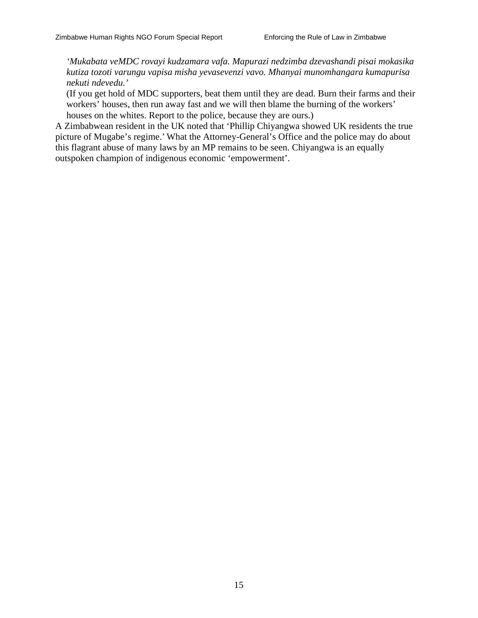*'Mukabata veMDC rovayi kudzamara vafa. Mapurazi nedzimba dzevashandi pisai mokasika kutiza tozoti varungu vapisa misha yevasevenzi vavo. Mhanyai munomhangara kumapurisa nekuti ndevedu.'*

(If you get hold of MDC supporters, beat them until they are dead. Burn their farms and their workers' houses, then run away fast and we will then blame the burning of the workers' houses on the whites. Report to the police, because they are ours.)

A Zimbabwean resident in the UK noted that 'Phillip Chiyangwa showed UK residents the true picture of Mugabe's regime.' What the Attorney-General's Office and the police may do about this flagrant abuse of many laws by an MP remains to be seen. Chiyangwa is an equally outspoken champion of indigenous economic 'empowerment'.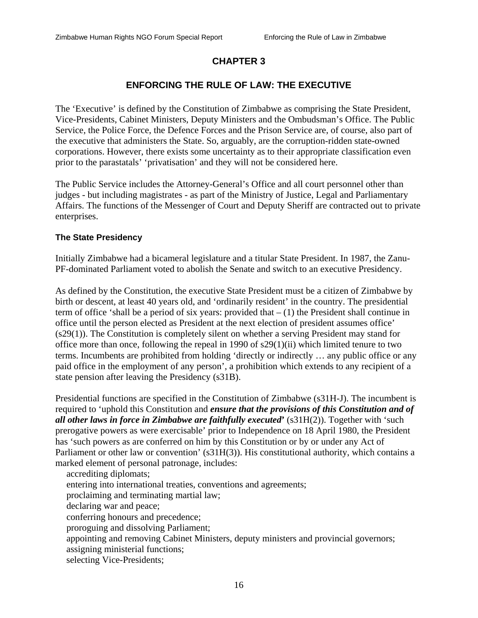# **CHAPTER 3**

# **ENFORCING THE RULE OF LAW: THE EXECUTIVE**

The 'Executive' is defined by the Constitution of Zimbabwe as comprising the State President, Vice-Presidents, Cabinet Ministers, Deputy Ministers and the Ombudsman's Office. The Public Service, the Police Force, the Defence Forces and the Prison Service are, of course, also part of the executive that administers the State. So, arguably, are the corruption-ridden state-owned corporations. However, there exists some uncertainty as to their appropriate classification even prior to the parastatals' 'privatisation' and they will not be considered here.

The Public Service includes the Attorney-General's Office and all court personnel other than judges - but including magistrates - as part of the Ministry of Justice, Legal and Parliamentary Affairs. The functions of the Messenger of Court and Deputy Sheriff are contracted out to private enterprises.

## **The State Presidency**

Initially Zimbabwe had a bicameral legislature and a titular State President. In 1987, the Zanu-PF-dominated Parliament voted to abolish the Senate and switch to an executive Presidency.

As defined by the Constitution, the executive State President must be a citizen of Zimbabwe by birth or descent, at least 40 years old, and 'ordinarily resident' in the country. The presidential term of office 'shall be a period of six years: provided that  $- (1)$  the President shall continue in office until the person elected as President at the next election of president assumes office' (s29(1)). The Constitution is completely silent on whether a serving President may stand for office more than once, following the repeal in 1990 of s29(1)(ii) which limited tenure to two terms. Incumbents are prohibited from holding 'directly or indirectly … any public office or any paid office in the employment of any person', a prohibition which extends to any recipient of a state pension after leaving the Presidency (s31B).

Presidential functions are specified in the Constitution of Zimbabwe (s31H-J). The incumbent is required to 'uphold this Constitution and *ensure that the provisions of this Constitution and of all other laws in force in Zimbabwe are faithfully executed***'** (s31H(2)). Together with 'such prerogative powers as were exercisable' prior to Independence on 18 April 1980, the President has 'such powers as are conferred on him by this Constitution or by or under any Act of Parliament or other law or convention' (s31H(3)). His constitutional authority, which contains a marked element of personal patronage, includes:

accrediting diplomats; entering into international treaties, conventions and agreements; proclaiming and terminating martial law; declaring war and peace; conferring honours and precedence; proroguing and dissolving Parliament; appointing and removing Cabinet Ministers, deputy ministers and provincial governors; assigning ministerial functions; selecting Vice-Presidents;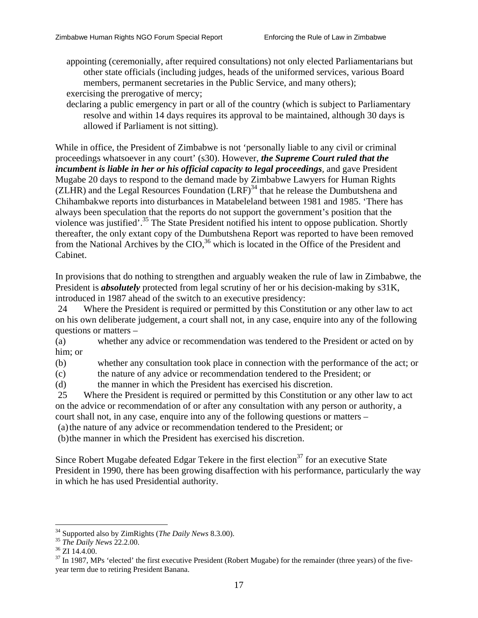- appointing (ceremonially, after required consultations) not only elected Parliamentarians but other state officials (including judges, heads of the uniformed services, various Board members, permanent secretaries in the Public Service, and many others); exercising the prerogative of mercy;
- declaring a public emergency in part or all of the country (which is subject to Parliamentary resolve and within 14 days requires its approval to be maintained, although 30 days is allowed if Parliament is not sitting).

While in office, the President of Zimbabwe is not 'personally liable to any civil or criminal proceedings whatsoever in any court' (s30). However, *the Supreme Court ruled that the incumbent is liable in her or his official capacity to legal proceedings,* and gave President Mugabe 20 days to respond to the demand made by Zimbabwe Lawyers for Human Rights (ZLHR) and the Legal Resources Foundation  $(LRF)^{34}$  that he release the Dumbutshena and Chihambakwe reports into disturbances in Matabeleland between 1981 and 1985. 'There has always been speculation that the reports do not support the government's position that the violence was justified'.35 The State President notified his intent to oppose publication. Shortly thereafter, the only extant copy of the Dumbutshena Report was reported to have been removed from the National Archives by the CIO, $^{36}$  which is located in the Office of the President and Cabinet.

In provisions that do nothing to strengthen and arguably weaken the rule of law in Zimbabwe, the President is **absolutely** protected from legal scrutiny of her or his decision-making by s31K, introduced in 1987 ahead of the switch to an executive presidency:

24 Where the President is required or permitted by this Constitution or any other law to act on his own deliberate judgement, a court shall not, in any case, enquire into any of the following questions or matters –

(a) whether any advice or recommendation was tendered to the President or acted on by him; or

(b) whether any consultation took place in connection with the performance of the act; or

(c) the nature of any advice or recommendation tendered to the President; or

(d) the manner in which the President has exercised his discretion.

25 Where the President is required or permitted by this Constitution or any other law to act on the advice or recommendation of or after any consultation with any person or authority, a court shall not, in any case, enquire into any of the following questions or matters –

(a)the nature of any advice or recommendation tendered to the President; or

(b)the manner in which the President has exercised his discretion.

Since Robert Mugabe defeated Edgar Tekere in the first election<sup>37</sup> for an executive State President in 1990, there has been growing disaffection with his performance, particularly the way in which he has used Presidential authority.

<sup>&</sup>lt;sup>34</sup> Supported also by ZimRights (*The Daily News* 8.3.00).<br><sup>35</sup> *The Daily News* 22.2.00.<br><sup>36</sup> ZI 14.4.00.

 $37$  In 1987, MPs 'elected' the first executive President (Robert Mugabe) for the remainder (three years) of the fiveyear term due to retiring President Banana.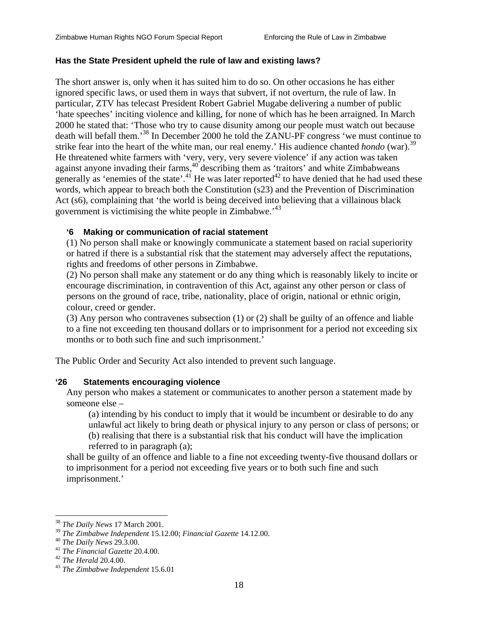#### **Has the State President upheld the rule of law and existing laws?**

The short answer is, only when it has suited him to do so. On other occasions he has either ignored specific laws, or used them in ways that subvert, if not overturn, the rule of law. In particular, ZTV has telecast President Robert Gabriel Mugabe delivering a number of public 'hate speeches' inciting violence and killing, for none of which has he been arraigned. In March 2000 he stated that: 'Those who try to cause disunity among our people must watch out because death will befall them.'38 In December 2000 he told the ZANU-PF congress 'we must continue to strike fear into the heart of the white man, our real enemy.' His audience chanted *hondo* (war).<sup>39</sup> He threatened white farmers with 'very, very, very severe violence' if any action was taken against anyone invading their farms,  $40^{\circ}$  describing them as 'traitors' and white Zimbabweans generally as 'enemies of the state'.<sup>41</sup> He was later reported<sup>42</sup> to have denied that he had used these words, which appear to breach both the Constitution (s23) and the Prevention of Discrimination Act (s6), complaining that 'the world is being deceived into believing that a villainous black government is victimising the white people in Zimbabwe.<sup>43</sup>

## **'6 Making or communication of racial statement**

(1) No person shall make or knowingly communicate a statement based on racial superiority or hatred if there is a substantial risk that the statement may adversely affect the reputations, rights and freedoms of other persons in Zimbabwe.

(2) No person shall make any statement or do any thing which is reasonably likely to incite or encourage discrimination, in contravention of this Act, against any other person or class of persons on the ground of race, tribe, nationality, place of origin, national or ethnic origin, colour, creed or gender.

(3) Any person who contravenes subsection (1) or (2) shall be guilty of an offence and liable to a fine not exceeding ten thousand dollars or to imprisonment for a period not exceeding six months or to both such fine and such imprisonment.'

The Public Order and Security Act also intended to prevent such language.

#### **'26 Statements encouraging violence**

Any person who makes a statement or communicates to another person a statement made by someone else –

(a) intending by his conduct to imply that it would be incumbent or desirable to do any unlawful act likely to bring death or physical injury to any person or class of persons; or (b) realising that there is a substantial risk that his conduct will have the implication referred to in paragraph (a);

shall be guilty of an offence and liable to a fine not exceeding twenty-five thousand dollars or to imprisonment for a period not exceeding five years or to both such fine and such imprisonment.'

<sup>38</sup> *The Daily News* 17 March 2001.

<sup>&</sup>lt;sup>39</sup> The Zimbabwe Independent 15.12.00; Financial Gazette 14.12.00.<br><sup>40</sup> The Daily News 29.3.00.<br><sup>41</sup> The Financial Gazette 20.4.00.<br><sup>42</sup> The Herald 20.4.00.<br><sup>43</sup> The Zimbabwe Independent 15.6.01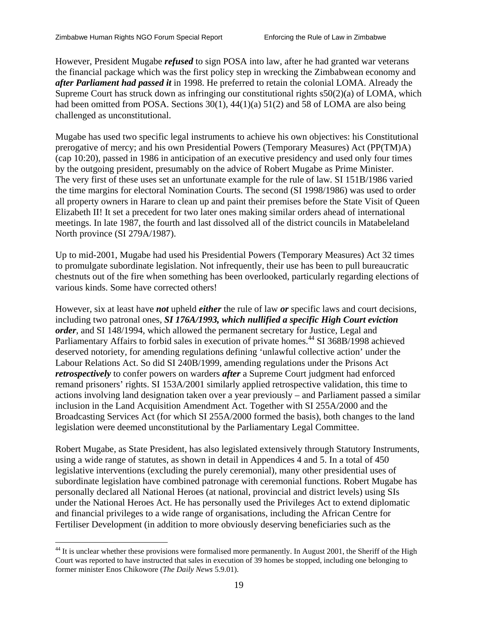However, President Mugabe *refused* to sign POSA into law, after he had granted war veterans the financial package which was the first policy step in wrecking the Zimbabwean economy and *after Parliament had passed it* in 1998. He preferred to retain the colonial LOMA. Already the Supreme Court has struck down as infringing our constitutional rights s50(2)(a) of LOMA, which had been omitted from POSA. Sections 30(1), 44(1)(a) 51(2) and 58 of LOMA are also being challenged as unconstitutional.

Mugabe has used two specific legal instruments to achieve his own objectives: his Constitutional prerogative of mercy; and his own Presidential Powers (Temporary Measures) Act (PP(TM)A) (cap 10:20), passed in 1986 in anticipation of an executive presidency and used only four times by the outgoing president, presumably on the advice of Robert Mugabe as Prime Minister. The very first of these uses set an unfortunate example for the rule of law. SI 151B/1986 varied the time margins for electoral Nomination Courts. The second (SI 1998/1986) was used to order all property owners in Harare to clean up and paint their premises before the State Visit of Queen Elizabeth II! It set a precedent for two later ones making similar orders ahead of international meetings. In late 1987, the fourth and last dissolved all of the district councils in Matabeleland North province (SI 279A/1987).

Up to mid-2001, Mugabe had used his Presidential Powers (Temporary Measures) Act 32 times to promulgate subordinate legislation. Not infrequently, their use has been to pull bureaucratic chestnuts out of the fire when something has been overlooked, particularly regarding elections of various kinds. Some have corrected others!

However, six at least have *not* upheld *either* the rule of law *or* specific laws and court decisions, including two patronal ones, *SI 176A/1993, which nullified a specific High Court eviction order*, and SI 148/1994, which allowed the permanent secretary for Justice, Legal and Parliamentary Affairs to forbid sales in execution of private homes.<sup>44</sup> SI 368B/1998 achieved deserved notoriety, for amending regulations defining 'unlawful collective action' under the Labour Relations Act. So did SI 240B/1999, amending regulations under the Prisons Act *retrospectively* to confer powers on warders *after* a Supreme Court judgment had enforced remand prisoners' rights. SI 153A/2001 similarly applied retrospective validation, this time to actions involving land designation taken over a year previously – and Parliament passed a similar inclusion in the Land Acquisition Amendment Act. Together with SI 255A/2000 and the Broadcasting Services Act (for which SI 255A/2000 formed the basis), both changes to the land legislation were deemed unconstitutional by the Parliamentary Legal Committee.

Robert Mugabe, as State President, has also legislated extensively through Statutory Instruments, using a wide range of statutes, as shown in detail in Appendices 4 and 5. In a total of 450 legislative interventions (excluding the purely ceremonial), many other presidential uses of subordinate legislation have combined patronage with ceremonial functions. Robert Mugabe has personally declared all National Heroes (at national, provincial and district levels) using SIs under the National Heroes Act. He has personally used the Privileges Act to extend diplomatic and financial privileges to a wide range of organisations, including the African Centre for Fertiliser Development (in addition to more obviously deserving beneficiaries such as the

<sup>&</sup>lt;sup>44</sup> It is unclear whether these provisions were formalised more permanently. In August 2001, the Sheriff of the High Court was reported to have instructed that sales in execution of 39 homes be stopped, including one belonging to former minister Enos Chikowore (*The Daily News* 5.9.01).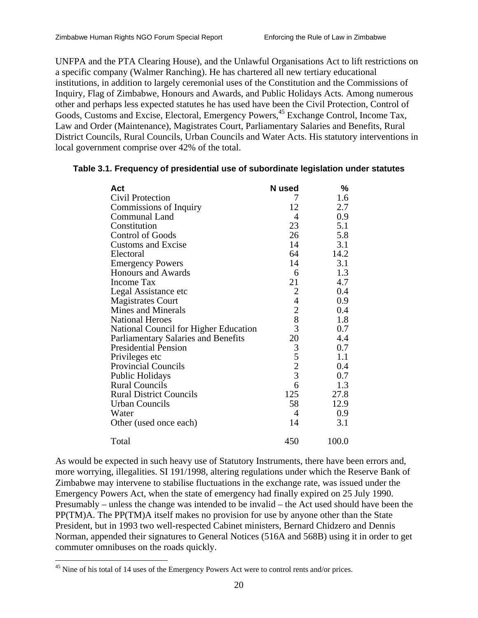UNFPA and the PTA Clearing House), and the Unlawful Organisations Act to lift restrictions on a specific company (Walmer Ranching). He has chartered all new tertiary educational institutions, in addition to largely ceremonial uses of the Constitution and the Commissions of Inquiry, Flag of Zimbabwe, Honours and Awards, and Public Holidays Acts. Among numerous other and perhaps less expected statutes he has used have been the Civil Protection, Control of Goods, Customs and Excise, Electoral, Emergency Powers,<sup>45</sup> Exchange Control, Income Tax, Law and Order (Maintenance), Magistrates Court, Parliamentary Salaries and Benefits, Rural District Councils, Rural Councils, Urban Councils and Water Acts. His statutory interventions in local government comprise over 42% of the total.

| Act                                   | N used                                          | %     |
|---------------------------------------|-------------------------------------------------|-------|
| Civil Protection                      | 7                                               | 1.6   |
| Commissions of Inquiry                | 12                                              | 2.7   |
| Communal Land                         | 4                                               | 0.9   |
| Constitution                          | 23                                              | 5.1   |
| <b>Control of Goods</b>               | 26                                              | 5.8   |
| <b>Customs and Excise</b>             | 14                                              | 3.1   |
| Electoral                             | 64                                              | 14.2  |
| <b>Emergency Powers</b>               | 14                                              | 3.1   |
| <b>Honours and Awards</b>             | 6                                               | 1.3   |
| <b>Income Tax</b>                     | 21                                              | 4.7   |
| Legal Assistance etc                  |                                                 | 0.4   |
| <b>Magistrates Court</b>              |                                                 | 0.9   |
| Mines and Minerals                    |                                                 | 0.4   |
| <b>National Heroes</b>                | $\begin{array}{c} 2 \\ 4 \\ 2 \\ 8 \end{array}$ | 1.8   |
| National Council for Higher Education | 3                                               | 0.7   |
| Parliamentary Salaries and Benefits   | 20                                              | 4.4   |
| <b>Presidential Pension</b>           |                                                 | 0.7   |
| Privileges etc                        | $\begin{array}{c} 3 \\ 5 \\ 2 \\ 3 \end{array}$ | 1.1   |
| <b>Provincial Councils</b>            |                                                 | 0.4   |
| <b>Public Holidays</b>                |                                                 | 0.7   |
| <b>Rural Councils</b>                 | 6                                               | 1.3   |
| <b>Rural District Councils</b>        | 125                                             | 27.8  |
| Urban Councils                        | 58                                              | 12.9  |
| Water                                 | 4                                               | 0.9   |
| Other (used once each)                | 14                                              | 3.1   |
| Total                                 | 450                                             | 100.0 |

#### **Table 3.1. Frequency of presidential use of subordinate legislation under statutes**

As would be expected in such heavy use of Statutory Instruments, there have been errors and, more worrying, illegalities. SI 191/1998, altering regulations under which the Reserve Bank of Zimbabwe may intervene to stabilise fluctuations in the exchange rate, was issued under the Emergency Powers Act, when the state of emergency had finally expired on 25 July 1990. Presumably – unless the change was intended to be invalid – the Act used should have been the PP(TM)A. The PP(TM)A itself makes no provision for use by anyone other than the State President, but in 1993 two well-respected Cabinet ministers, Bernard Chidzero and Dennis Norman, appended their signatures to General Notices (516A and 568B) using it in order to get commuter omnibuses on the roads quickly.

<sup>&</sup>lt;sup>45</sup> Nine of his total of 14 uses of the Emergency Powers Act were to control rents and/or prices.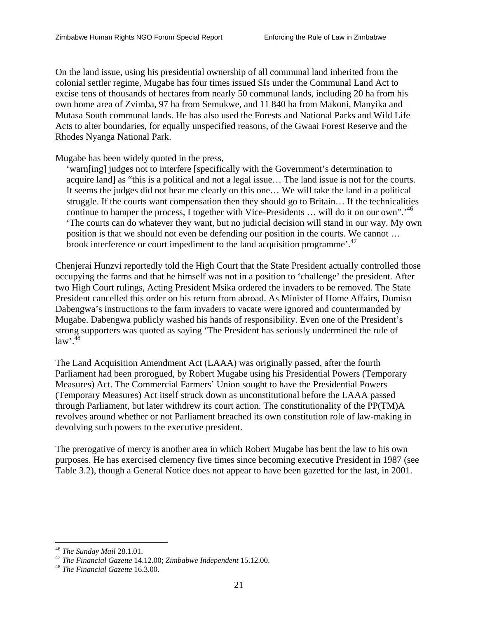On the land issue, using his presidential ownership of all communal land inherited from the colonial settler regime, Mugabe has four times issued SIs under the Communal Land Act to excise tens of thousands of hectares from nearly 50 communal lands, including 20 ha from his own home area of Zvimba, 97 ha from Semukwe, and 11 840 ha from Makoni, Manyika and Mutasa South communal lands. He has also used the Forests and National Parks and Wild Life Acts to alter boundaries, for equally unspecified reasons, of the Gwaai Forest Reserve and the Rhodes Nyanga National Park.

Mugabe has been widely quoted in the press,

'warn[ing] judges not to interfere [specifically with the Government's determination to acquire land] as "this is a political and not a legal issue… The land issue is not for the courts. It seems the judges did not hear me clearly on this one… We will take the land in a political struggle. If the courts want compensation then they should go to Britain… If the technicalities continue to hamper the process, I together with Vice-Presidents  $\dots$  will do it on our own".<sup>46</sup> 'The courts can do whatever they want, but no judicial decision will stand in our way. My own position is that we should not even be defending our position in the courts. We cannot … brook interference or court impediment to the land acquisition programme<sup>'.47</sup>

Chenjerai Hunzvi reportedly told the High Court that the State President actually controlled those occupying the farms and that he himself was not in a position to 'challenge' the president. After two High Court rulings, Acting President Msika ordered the invaders to be removed. The State President cancelled this order on his return from abroad. As Minister of Home Affairs, Dumiso Dabengwa's instructions to the farm invaders to vacate were ignored and countermanded by Mugabe. Dabengwa publicly washed his hands of responsibility. Even one of the President's strong supporters was quoted as saying 'The President has seriously undermined the rule of  $law<sup>5,48</sup>$ 

The Land Acquisition Amendment Act (LAAA) was originally passed, after the fourth Parliament had been prorogued, by Robert Mugabe using his Presidential Powers (Temporary Measures) Act. The Commercial Farmers' Union sought to have the Presidential Powers (Temporary Measures) Act itself struck down as unconstitutional before the LAAA passed through Parliament, but later withdrew its court action. The constitutionality of the PP(TM)A revolves around whether or not Parliament breached its own constitution role of law-making in devolving such powers to the executive president.

The prerogative of mercy is another area in which Robert Mugabe has bent the law to his own purposes. He has exercised clemency five times since becoming executive President in 1987 (see Table 3.2), though a General Notice does not appear to have been gazetted for the last, in 2001.

<sup>46</sup> *The Sunday Mail* 28.1.01. 47 *The Financial Gazette* 14.12.00; *Zimbabwe Independent* 15.12.00. 48 *The Financial Gazette* 16.3.00.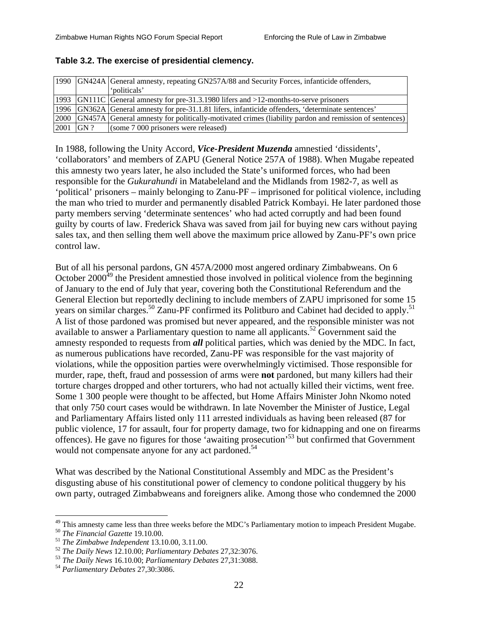| 1990        |        | GN424A General amnesty, repeating GN257A/88 and Security Forces, infanticide offenders,               |  |
|-------------|--------|-------------------------------------------------------------------------------------------------------|--|
|             |        | 'politicals'                                                                                          |  |
|             |        | 1993 GN111C General amnesty for pre-31.3.1980 lifers and >12-months-to-serve prisoners                |  |
|             |        | [1996] GN362A General amnesty for pre-31.1.81 lifers, infanticide offenders, 'determinate sentences'  |  |
| <b>2000</b> |        | GN457A General amnesty for politically-motivated crimes (liability pardon and remission of sentences) |  |
| 2001        | $GN$ ? | $\sim$ (some 7 000 prisoners were released)                                                           |  |

#### **Table 3.2. The exercise of presidential clemency.**

In 1988, following the Unity Accord, *Vice-President Muzenda* amnestied 'dissidents', 'collaborators' and members of ZAPU (General Notice 257A of 1988). When Mugabe repeated this amnesty two years later, he also included the State's uniformed forces, who had been responsible for the *Gukurahundi* in Matabeleland and the Midlands from 1982-7, as well as 'political' prisoners – mainly belonging to Zanu-PF – imprisoned for political violence, including the man who tried to murder and permanently disabled Patrick Kombayi. He later pardoned those party members serving 'determinate sentences' who had acted corruptly and had been found guilty by courts of law. Frederick Shava was saved from jail for buying new cars without paying sales tax, and then selling them well above the maximum price allowed by Zanu-PF's own price control law.

But of all his personal pardons, GN 457A/2000 most angered ordinary Zimbabweans. On 6 October  $2000^{49}$  the President amnestied those involved in political violence from the beginning of January to the end of July that year, covering both the Constitutional Referendum and the General Election but reportedly declining to include members of ZAPU imprisoned for some 15 years on similar charges.<sup>50</sup> Zanu-PF confirmed its Politburo and Cabinet had decided to apply.<sup>51</sup> A list of those pardoned was promised but never appeared, and the responsible minister was not available to answer a Parliamentary question to name all applicants.<sup>52</sup> Government said the amnesty responded to requests from *all* political parties, which was denied by the MDC. In fact, as numerous publications have recorded, Zanu-PF was responsible for the vast majority of violations, while the opposition parties were overwhelmingly victimised. Those responsible for murder, rape, theft, fraud and possession of arms were **not** pardoned, but many killers had their torture charges dropped and other torturers, who had not actually killed their victims, went free. Some 1 300 people were thought to be affected, but Home Affairs Minister John Nkomo noted that only 750 court cases would be withdrawn. In late November the Minister of Justice, Legal and Parliamentary Affairs listed only 111 arrested individuals as having been released (87 for public violence, 17 for assault, four for property damage, two for kidnapping and one on firearms offences). He gave no figures for those 'awaiting prosecution'53 but confirmed that Government would not compensate anyone for any act pardoned.<sup>54</sup>

What was described by the National Constitutional Assembly and MDC as the President's disgusting abuse of his constitutional power of clemency to condone political thuggery by his own party, outraged Zimbabweans and foreigners alike. Among those who condemned the 2000

<sup>&</sup>lt;sup>49</sup> This amnesty came less than three weeks before the MDC's Parliamentary motion to impeach President Mugabe.<br><sup>50</sup> The Financial Gazette 19.10.00.<br><sup>51</sup> The Zimbabwe Independent 13.10.00, 3.11.00.<br><sup>52</sup> The Daily News 12.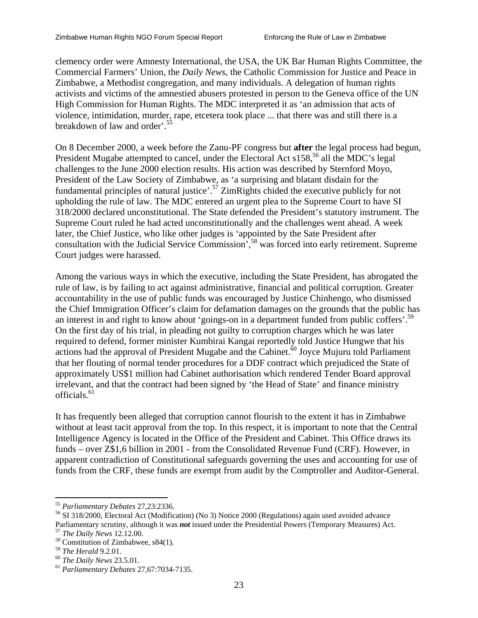clemency order were Amnesty International, the USA, the UK Bar Human Rights Committee, the Commercial Farmers' Union, the *Daily News*, the Catholic Commission for Justice and Peace in Zimbabwe, a Methodist congregation, and many individuals. A delegation of human rights activists and victims of the amnestied abusers protested in person to the Geneva office of the UN High Commission for Human Rights. The MDC interpreted it as 'an admission that acts of violence, intimidation, murder, rape, etcetera took place ... that there was and still there is a breakdown of law and order'.55

On 8 December 2000, a week before the Zanu-PF congress but **after** the legal process had begun, President Mugabe attempted to cancel, under the Electoral Act s158,<sup>56</sup> all the MDC's legal challenges to the June 2000 election results. His action was described by Sternford Moyo, President of the Law Society of Zimbabwe, as 'a surprising and blatant disdain for the fundamental principles of natural justice'.<sup>57</sup> ZimRights chided the executive publicly for not upholding the rule of law. The MDC entered an urgent plea to the Supreme Court to have SI 318/2000 declared unconstitutional. The State defended the President's statutory instrument. The Supreme Court ruled he had acted unconstitutionally and the challenges went ahead. A week later, the Chief Justice, who like other judges is 'appointed by the Sate President after consultation with the Judicial Service Commission',58 was forced into early retirement. Supreme Court judges were harassed.

Among the various ways in which the executive, including the State President, has abrogated the rule of law, is by failing to act against administrative, financial and political corruption. Greater accountability in the use of public funds was encouraged by Justice Chinhengo, who dismissed the Chief Immigration Officer's claim for defamation damages on the grounds that the public has an interest in and right to know about 'goings-on in a department funded from public coffers'.<sup>59</sup> On the first day of his trial, in pleading not guilty to corruption charges which he was later required to defend, former minister Kumbirai Kangai reportedly told Justice Hungwe that his actions had the approval of President Mugabe and the Cabinet.<sup>60</sup> Joyce Mujuru told Parliament that her flouting of normal tender procedures for a DDF contract which prejudiced the State of approximately US\$1 million had Cabinet authorisation which rendered Tender Board approval irrelevant, and that the contract had been signed by 'the Head of State' and finance ministry officials.<sup>61</sup>

It has frequently been alleged that corruption cannot flourish to the extent it has in Zimbabwe without at least tacit approval from the top. In this respect, it is important to note that the Central Intelligence Agency is located in the Office of the President and Cabinet. This Office draws its funds – over Z\$1,6 billion in 2001 - from the Consolidated Revenue Fund (CRF). However, in apparent contradiction of Constitutional safeguards governing the uses and accounting for use of funds from the CRF, these funds are exempt from audit by the Comptroller and Auditor-General.

<sup>&</sup>lt;sup>55</sup> *Parliamentary Debates* 27,23:2336.<br><sup>56</sup> SI 318/2000, Electoral Act (Modification) (No 3) Notice 2000 (Regulations) again used avoided advance Parliamentary scrutiny, although it was **not** issued under the Presidential Powers (Temporary Measures) Act.<br><sup>57</sup> *The Daily News* 12.12.00.<br><sup>58</sup> Constitution of Zimbabwee, s84(1).<br><sup>59</sup> *The Herald* 9.2.01.

<sup>59</sup> *The Herald* 9.2.01. <sup>60</sup> *The Daily News* 23.5.01. <sup>61</sup> *Parliamentary Debates* 27,67:7034-7135.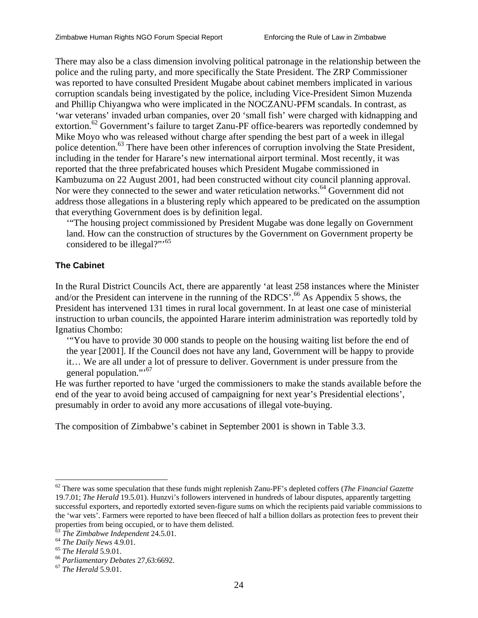There may also be a class dimension involving political patronage in the relationship between the police and the ruling party, and more specifically the State President. The ZRP Commissioner was reported to have consulted President Mugabe about cabinet members implicated in various corruption scandals being investigated by the police, including Vice-President Simon Muzenda and Phillip Chiyangwa who were implicated in the NOCZANU-PFM scandals. In contrast, as 'war veterans' invaded urban companies, over 20 'small fish' were charged with kidnapping and extortion.<sup>62</sup> Government's failure to target Zanu-PF office-bearers was reportedly condemned by Mike Moyo who was released without charge after spending the best part of a week in illegal police detention.<sup>63</sup> There have been other inferences of corruption involving the State President, including in the tender for Harare's new international airport terminal. Most recently, it was reported that the three prefabricated houses which President Mugabe commissioned in Kambuzuma on 22 August 2001, had been constructed without city council planning approval. Nor were they connected to the sewer and water reticulation networks.<sup>64</sup> Government did not address those allegations in a blustering reply which appeared to be predicated on the assumption that everything Government does is by definition legal.

'"The housing project commissioned by President Mugabe was done legally on Government land. How can the construction of structures by the Government on Government property be considered to be illegal?"<sup>55</sup>

# **The Cabinet**

In the Rural District Councils Act, there are apparently 'at least 258 instances where the Minister and/or the President can intervene in the running of the RDCS'.<sup>66</sup> As Appendix 5 shows, the President has intervened 131 times in rural local government. In at least one case of ministerial instruction to urban councils, the appointed Harare interim administration was reportedly told by Ignatius Chombo:

'"You have to provide 30 000 stands to people on the housing waiting list before the end of the year [2001]. If the Council does not have any land, Government will be happy to provide it… We are all under a lot of pressure to deliver. Government is under pressure from the general population."<sup>67</sup>

He was further reported to have 'urged the commissioners to make the stands available before the end of the year to avoid being accused of campaigning for next year's Presidential elections', presumably in order to avoid any more accusations of illegal vote-buying.

The composition of Zimbabwe's cabinet in September 2001 is shown in Table 3.3.

<sup>62</sup> There was some speculation that these funds might replenish Zanu-PF's depleted coffers (*The Financial Gazette* 19.7.01; *The Herald* 19.5.01). Hunzvi's followers intervened in hundreds of labour disputes, apparently targetting successful exporters, and reportedly extorted seven-figure sums on which the recipients paid variable commissions to the 'war vets'. Farmers were reported to have been fleeced of half a billion dollars as protection fees to prevent their properties from being occupied, or to have them delisted.

<sup>&</sup>lt;sup>63</sup> The Zimbabwe Independent 24.5.01.<br><sup>64</sup> *The Daily News* 4.9.01.<br><sup>65</sup> *The Herald* 5.9.01.<br><sup>66</sup> *Parliamentary Debates* 27,63:6692.<br><sup>67</sup> *The Herald* 5.9.01.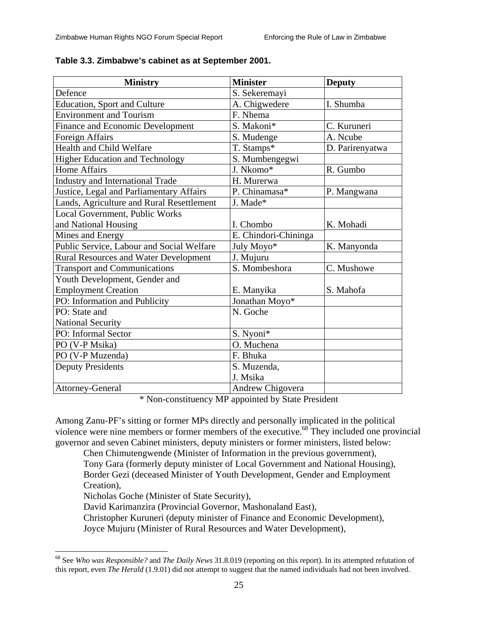| <b>Ministry</b>                                                    | <b>Minister</b>                                                                                                                                                                                                                                                                                                                                        | <b>Deputy</b>   |
|--------------------------------------------------------------------|--------------------------------------------------------------------------------------------------------------------------------------------------------------------------------------------------------------------------------------------------------------------------------------------------------------------------------------------------------|-----------------|
| Defence                                                            | S. Sekeremayi                                                                                                                                                                                                                                                                                                                                          |                 |
| <b>Education, Sport and Culture</b>                                | A. Chigwedere                                                                                                                                                                                                                                                                                                                                          | I. Shumba       |
| <b>Environment and Tourism</b>                                     | F. Nhema                                                                                                                                                                                                                                                                                                                                               |                 |
| Finance and Economic Development                                   | S. Makoni*                                                                                                                                                                                                                                                                                                                                             | C. Kuruneri     |
| Foreign Affairs                                                    | S. Mudenge                                                                                                                                                                                                                                                                                                                                             | A. Ncube        |
| <b>Health and Child Welfare</b>                                    | T. Stamps*                                                                                                                                                                                                                                                                                                                                             | D. Parirenyatwa |
| <b>Higher Education and Technology</b>                             | S. Mumbengegwi                                                                                                                                                                                                                                                                                                                                         |                 |
| <b>Home Affairs</b>                                                | J. Nkomo*                                                                                                                                                                                                                                                                                                                                              | R. Gumbo        |
| <b>Industry and International Trade</b>                            | H. Murerwa                                                                                                                                                                                                                                                                                                                                             |                 |
| Justice, Legal and Parliamentary Affairs                           | P. Chinamasa*                                                                                                                                                                                                                                                                                                                                          | P. Mangwana     |
| Lands, Agriculture and Rural Resettlement                          | J. Made*                                                                                                                                                                                                                                                                                                                                               |                 |
| Local Government, Public Works                                     |                                                                                                                                                                                                                                                                                                                                                        |                 |
| and National Housing                                               | I. Chombo                                                                                                                                                                                                                                                                                                                                              | K. Mohadi       |
| Mines and Energy                                                   | E. Chindori-Chininga                                                                                                                                                                                                                                                                                                                                   |                 |
| Public Service, Labour and Social Welfare                          | July Moyo*                                                                                                                                                                                                                                                                                                                                             | K. Manyonda     |
| <b>Rural Resources and Water Development</b>                       | J. Mujuru                                                                                                                                                                                                                                                                                                                                              |                 |
| <b>Transport and Communications</b>                                | S. Mombeshora                                                                                                                                                                                                                                                                                                                                          | C. Mushowe      |
| Youth Development, Gender and                                      |                                                                                                                                                                                                                                                                                                                                                        |                 |
| <b>Employment Creation</b>                                         | E. Manyika                                                                                                                                                                                                                                                                                                                                             | S. Mahofa       |
| PO: Information and Publicity                                      | Jonathan Moyo*                                                                                                                                                                                                                                                                                                                                         |                 |
| PO: State and                                                      | N. Goche                                                                                                                                                                                                                                                                                                                                               |                 |
| <b>National Security</b>                                           |                                                                                                                                                                                                                                                                                                                                                        |                 |
| PO: Informal Sector                                                | S. Nyoni*                                                                                                                                                                                                                                                                                                                                              |                 |
| PO (V-P Msika)                                                     | O. Muchena                                                                                                                                                                                                                                                                                                                                             |                 |
| PO (V-P Muzenda)                                                   | F. Bhuka                                                                                                                                                                                                                                                                                                                                               |                 |
| <b>Deputy Presidents</b>                                           | S. Muzenda,                                                                                                                                                                                                                                                                                                                                            |                 |
|                                                                    | J. Msika                                                                                                                                                                                                                                                                                                                                               |                 |
| Attorney-General<br>$\mathbf{r}$<br>$\mathbf{r}$<br><b>JA TA T</b> | Andrew Chigovera<br>$\mathbf{r}$ $\mathbf{r}$ $\mathbf{r}$ $\mathbf{r}$ $\mathbf{r}$ $\mathbf{r}$ $\mathbf{r}$ $\mathbf{r}$ $\mathbf{r}$ $\mathbf{r}$ $\mathbf{r}$ $\mathbf{r}$ $\mathbf{r}$ $\mathbf{r}$ $\mathbf{r}$ $\mathbf{r}$ $\mathbf{r}$ $\mathbf{r}$ $\mathbf{r}$ $\mathbf{r}$ $\mathbf{r}$ $\mathbf{r}$ $\mathbf{r}$ $\mathbf{r}$ $\mathbf{$ |                 |

#### **Table 3.3. Zimbabwe's cabinet as at September 2001.**

\* Non-constituency MP appointed by State President

Among Zanu-PF's sitting or former MPs directly and personally implicated in the political violence were nine members or former members of the executive.<sup>68</sup> They included one provincial governor and seven Cabinet ministers, deputy ministers or former ministers, listed below:

Chen Chimutengwende (Minister of Information in the previous government), Tony Gara (formerly deputy minister of Local Government and National Housing), Border Gezi (deceased Minister of Youth Development, Gender and Employment Creation),

Nicholas Goche (Minister of State Security),

 $\overline{a}$ 

David Karimanzira (Provincial Governor, Mashonaland East),

Christopher Kuruneri (deputy minister of Finance and Economic Development),

Joyce Mujuru (Minister of Rural Resources and Water Development),

<sup>68</sup> See *Who was Responsible?* and *The Daily News* 31.8.019 (reporting on this report). In its attempted refutation of this report, even *The Herald* (1.9.01) did not attempt to suggest that the named individuals had not been involved.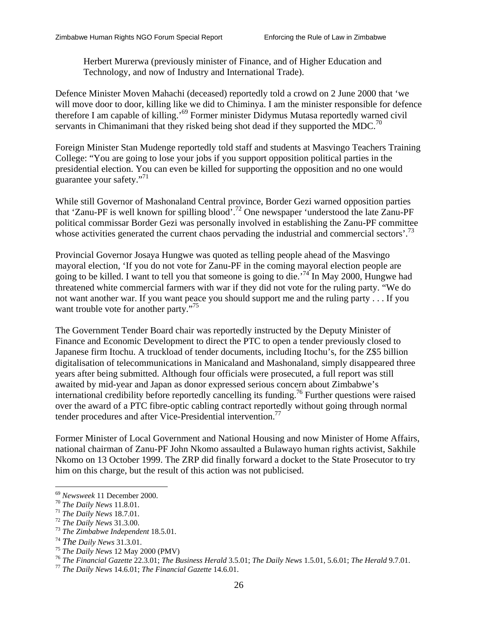Herbert Murerwa (previously minister of Finance, and of Higher Education and Technology, and now of Industry and International Trade).

Defence Minister Moven Mahachi (deceased) reportedly told a crowd on 2 June 2000 that 'we will move door to door, killing like we did to Chiminya. I am the minister responsible for defence therefore I am capable of killing.'69 Former minister Didymus Mutasa reportedly warned civil servants in Chimanimani that they risked being shot dead if they supported the MDC.<sup>70</sup>

Foreign Minister Stan Mudenge reportedly told staff and students at Masvingo Teachers Training College: "You are going to lose your jobs if you support opposition political parties in the presidential election. You can even be killed for supporting the opposition and no one would guarantee your safety."<sup>71</sup>

While still Governor of Mashonaland Central province, Border Gezi warned opposition parties that 'Zanu-PF is well known for spilling blood'.72 One newspaper 'understood the late Zanu-PF political commissar Border Gezi was personally involved in establishing the Zanu-PF committee whose activities generated the current chaos pervading the industrial and commercial sectors'.<sup>73</sup>

Provincial Governor Josaya Hungwe was quoted as telling people ahead of the Masvingo mayoral election, 'If you do not vote for Zanu-PF in the coming mayoral election people are going to be killed. I want to tell you that someone is going to die.<sup>74</sup> In May 2000, Hungwe had threatened white commercial farmers with war if they did not vote for the ruling party. "We do not want another war. If you want peace you should support me and the ruling party . . . If you want trouble vote for another party."<sup>75</sup>

The Government Tender Board chair was reportedly instructed by the Deputy Minister of Finance and Economic Development to direct the PTC to open a tender previously closed to Japanese firm Itochu. A truckload of tender documents, including Itochu's, for the Z\$5 billion digitalisation of telecommunications in Manicaland and Mashonaland, simply disappeared three years after being submitted. Although four officials were prosecuted, a full report was still awaited by mid-year and Japan as donor expressed serious concern about Zimbabwe's international credibility before reportedly cancelling its funding.<sup>76</sup> Further questions were raised over the award of a PTC fibre-optic cabling contract reportedly without going through normal tender procedures and after Vice-Presidential intervention.<sup>77</sup>

Former Minister of Local Government and National Housing and now Minister of Home Affairs, national chairman of Zanu-PF John Nkomo assaulted a Bulawayo human rights activist, Sakhile Nkomo on 13 October 1999. The ZRP did finally forward a docket to the State Prosecutor to try him on this charge, but the result of this action was not publicised.

<sup>69</sup> *Newsweek* 11 December 2000. 70 *The Daily News* 11.8.01. 71 *The Daily News* 18.7.01. 72 *The Daily News* 31.3.00. <sup>73</sup> *The Zimbabwe Independent* 18.5.01.

<sup>&</sup>lt;sup>74</sup> The Daily News 31.3.01.<br><sup>75</sup> The Daily News 12 May 2000 (PMV)<br><sup>75</sup> The Financial Gazette 22.3.01; The Business Herald 3.5.01; The Daily News 1.5.01, 5.6.01; The Herald 9.7.01.<br><sup>77</sup> The Daily News 14.6.01; The Financi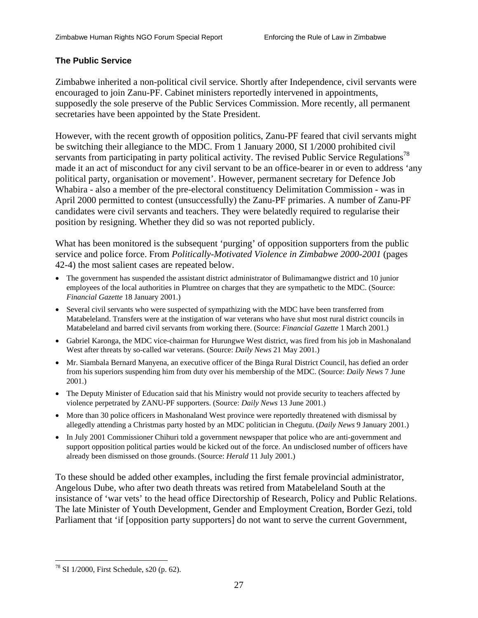## **The Public Service**

Zimbabwe inherited a non-political civil service. Shortly after Independence, civil servants were encouraged to join Zanu-PF. Cabinet ministers reportedly intervened in appointments, supposedly the sole preserve of the Public Services Commission. More recently, all permanent secretaries have been appointed by the State President.

However, with the recent growth of opposition politics, Zanu-PF feared that civil servants might be switching their allegiance to the MDC. From 1 January 2000, SI 1/2000 prohibited civil servants from participating in party political activity. The revised Public Service Regulations<sup>78</sup> made it an act of misconduct for any civil servant to be an office-bearer in or even to address 'any political party, organisation or movement'. However, permanent secretary for Defence Job Whabira - also a member of the pre-electoral constituency Delimitation Commission - was in April 2000 permitted to contest (unsuccessfully) the Zanu-PF primaries. A number of Zanu-PF candidates were civil servants and teachers. They were belatedly required to regularise their position by resigning. Whether they did so was not reported publicly.

What has been monitored is the subsequent 'purging' of opposition supporters from the public service and police force. From *Politically-Motivated Violence in Zimbabwe 2000-2001* (pages 42-4) the most salient cases are repeated below.

- The government has suspended the assistant district administrator of Bulimamangwe district and 10 junior employees of the local authorities in Plumtree on charges that they are sympathetic to the MDC. (Source: *Financial Gazette* 18 January 2001.)
- Several civil servants who were suspected of sympathizing with the MDC have been transferred from Matabeleland. Transfers were at the instigation of war veterans who have shut most rural district councils in Matabeleland and barred civil servants from working there. (Source: *Financial Gazette* 1 March 2001.)
- Gabriel Karonga, the MDC vice-chairman for Hurungwe West district, was fired from his job in Mashonaland West after threats by so-called war veterans. (Source: *Daily News* 21 May 2001.)
- Mr. Siambala Bernard Manyena, an executive officer of the Binga Rural District Council, has defied an order from his superiors suspending him from duty over his membership of the MDC. (Source: *Daily News* 7 June 2001.)
- The Deputy Minister of Education said that his Ministry would not provide security to teachers affected by violence perpetrated by ZANU-PF supporters. (Source: *Daily News* 13 June 2001.)
- More than 30 police officers in Mashonaland West province were reportedly threatened with dismissal by allegedly attending a Christmas party hosted by an MDC politician in Chegutu. (*Daily News* 9 January 2001.)
- In July 2001 Commissioner Chihuri told a government newspaper that police who are anti-government and support opposition political parties would be kicked out of the force. An undisclosed number of officers have already been dismissed on those grounds. (Source: *Herald* 11 July 2001.)

To these should be added other examples, including the first female provincial administrator, Angelous Dube, who after two death threats was retired from Matabeleland South at the insistance of 'war vets' to the head office Directorship of Research, Policy and Public Relations. The late Minister of Youth Development, Gender and Employment Creation, Border Gezi, told Parliament that 'if [opposition party supporters] do not want to serve the current Government,

<sup>78</sup> SI 1/2000, First Schedule, s20 (p. 62).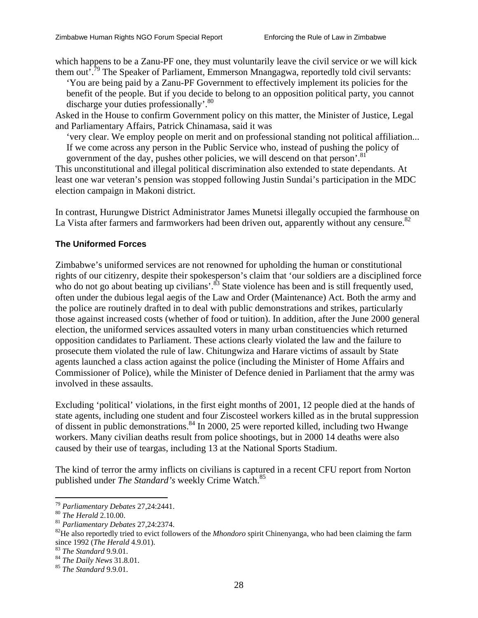which happens to be a Zanu-PF one, they must voluntarily leave the civil service or we will kick them out'.79 The Speaker of Parliament, Emmerson Mnangagwa, reportedly told civil servants:

'You are being paid by a Zanu-PF Government to effectively implement its policies for the benefit of the people. But if you decide to belong to an opposition political party, you cannot discharge your duties professionally'.<sup>80</sup>

Asked in the House to confirm Government policy on this matter, the Minister of Justice, Legal and Parliamentary Affairs, Patrick Chinamasa, said it was

'very clear. We employ people on merit and on professional standing not political affiliation... If we come across any person in the Public Service who, instead of pushing the policy of

government of the day, pushes other policies, we will descend on that person'.<sup>8</sup>

This unconstitutional and illegal political discrimination also extended to state dependants. At least one war veteran's pension was stopped following Justin Sundai's participation in the MDC election campaign in Makoni district.

In contrast, Hurungwe District Administrator James Munetsi illegally occupied the farmhouse on La Vista after farmers and farmworkers had been driven out, apparently without any censure.<sup>82</sup>

# **The Uniformed Forces**

Zimbabwe's uniformed services are not renowned for upholding the human or constitutional rights of our citizenry, despite their spokesperson's claim that 'our soldiers are a disciplined force who do not go about beating up civilians'.<sup>83</sup> State violence has been and is still frequently used, often under the dubious legal aegis of the Law and Order (Maintenance) Act. Both the army and the police are routinely drafted in to deal with public demonstrations and strikes, particularly those against increased costs (whether of food or tuition). In addition, after the June 2000 general election, the uniformed services assaulted voters in many urban constituencies which returned opposition candidates to Parliament. These actions clearly violated the law and the failure to prosecute them violated the rule of law. Chitungwiza and Harare victims of assault by State agents launched a class action against the police (including the Minister of Home Affairs and Commissioner of Police), while the Minister of Defence denied in Parliament that the army was involved in these assaults.

Excluding 'political' violations, in the first eight months of 2001, 12 people died at the hands of state agents, including one student and four Ziscosteel workers killed as in the brutal suppression of dissent in public demonstrations.<sup>84</sup> In 2000, 25 were reported killed, including two Hwange workers. Many civilian deaths result from police shootings, but in 2000 14 deaths were also caused by their use of teargas, including 13 at the National Sports Stadium.

The kind of terror the army inflicts on civilians is captured in a recent CFU report from Norton published under *The Standard's* weekly Crime Watch.<sup>85</sup>

<sup>&</sup>lt;sup>79</sup> Parliamentary Debates 27,24:2441.<br><sup>80</sup> The Herald 2.10.00.<br><sup>81</sup> Parliamentary Debates 27,24:2374.<br><sup>82</sup>He also reportedly tried to evict followers of the *Mhondoro* spirit Chinenyanga, who had been claiming the farm since 1992 (*The Herald* 4.9.01). 83 *The Standard* 9.9.01. 84 *The Daily News* 31.8.01. 85 *The Standard* 9.9.01.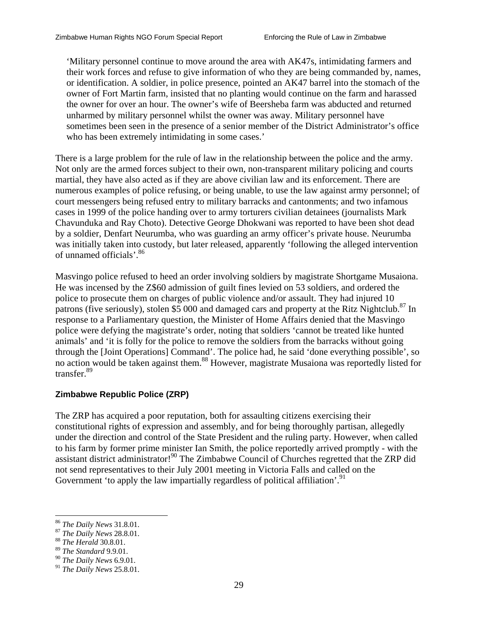'Military personnel continue to move around the area with AK47s, intimidating farmers and their work forces and refuse to give information of who they are being commanded by, names, or identification. A soldier, in police presence, pointed an AK47 barrel into the stomach of the owner of Fort Martin farm, insisted that no planting would continue on the farm and harassed the owner for over an hour. The owner's wife of Beersheba farm was abducted and returned unharmed by military personnel whilst the owner was away. Military personnel have sometimes been seen in the presence of a senior member of the District Administrator's office who has been extremely intimidating in some cases.'

There is a large problem for the rule of law in the relationship between the police and the army. Not only are the armed forces subject to their own, non-transparent military policing and courts martial, they have also acted as if they are above civilian law and its enforcement. There are numerous examples of police refusing, or being unable, to use the law against army personnel; of court messengers being refused entry to military barracks and cantonments; and two infamous cases in 1999 of the police handing over to army torturers civilian detainees (journalists Mark Chavunduka and Ray Choto). Detective George Dhokwani was reported to have been shot dead by a soldier, Denfart Neurumba, who was guarding an army officer's private house. Neurumba was initially taken into custody, but later released, apparently 'following the alleged intervention of unnamed officials'.86

Masvingo police refused to heed an order involving soldiers by magistrate Shortgame Musaiona. He was incensed by the Z\$60 admission of guilt fines levied on 53 soldiers, and ordered the police to prosecute them on charges of public violence and/or assault. They had injured 10 patrons (five seriously), stolen \$5 000 and damaged cars and property at the Ritz Nightclub.<sup>87</sup> In response to a Parliamentary question, the Minister of Home Affairs denied that the Masvingo police were defying the magistrate's order, noting that soldiers 'cannot be treated like hunted animals' and 'it is folly for the police to remove the soldiers from the barracks without going through the [Joint Operations] Command'. The police had, he said 'done everything possible', so no action would be taken against them.<sup>88</sup> However, magistrate Musaiona was reportedly listed for transfer.89

# **Zimbabwe Republic Police (ZRP)**

The ZRP has acquired a poor reputation, both for assaulting citizens exercising their constitutional rights of expression and assembly, and for being thoroughly partisan, allegedly under the direction and control of the State President and the ruling party. However, when called to his farm by former prime minister Ian Smith, the police reportedly arrived promptly - with the assistant district administrator!<sup>90</sup> The Zimbabwe Council of Churches regretted that the ZRP did not send representatives to their July 2001 meeting in Victoria Falls and called on the Government 'to apply the law impartially regardless of political affiliation'.<sup>91</sup>

<sup>&</sup>lt;sup>86</sup> The Daily News 31.8.01.

<sup>&</sup>lt;sup>87</sup> The Daily News 28.8.01.<br><sup>88</sup> The Herald 30.8.01.

<sup>89</sup> *The Standard* 9.9.01.

<sup>90</sup> *The Daily News* 6.9.01.

<sup>91</sup> *The Daily News* 25.8.01.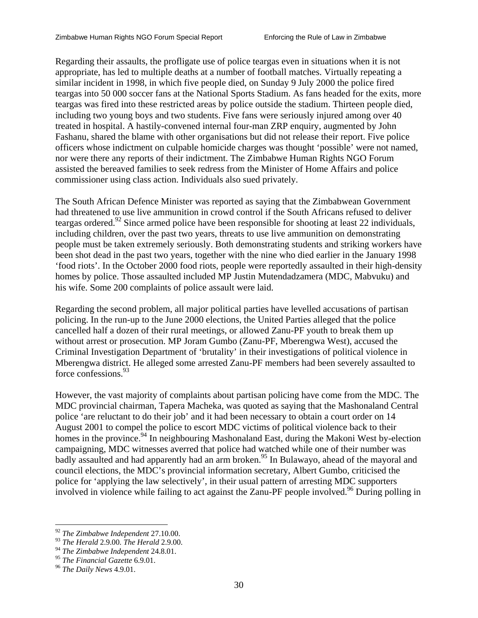Regarding their assaults, the profligate use of police teargas even in situations when it is not appropriate, has led to multiple deaths at a number of football matches. Virtually repeating a similar incident in 1998, in which five people died, on Sunday 9 July 2000 the police fired teargas into 50 000 soccer fans at the National Sports Stadium. As fans headed for the exits, more teargas was fired into these restricted areas by police outside the stadium. Thirteen people died, including two young boys and two students. Five fans were seriously injured among over 40 treated in hospital. A hastily-convened internal four-man ZRP enquiry, augmented by John Fashanu, shared the blame with other organisations but did not release their report. Five police officers whose indictment on culpable homicide charges was thought 'possible' were not named, nor were there any reports of their indictment. The Zimbabwe Human Rights NGO Forum assisted the bereaved families to seek redress from the Minister of Home Affairs and police commissioner using class action. Individuals also sued privately.

The South African Defence Minister was reported as saying that the Zimbabwean Government had threatened to use live ammunition in crowd control if the South Africans refused to deliver teargas ordered.<sup>92</sup> Since armed police have been responsible for shooting at least 22 individuals, including children, over the past two years, threats to use live ammunition on demonstrating people must be taken extremely seriously. Both demonstrating students and striking workers have been shot dead in the past two years, together with the nine who died earlier in the January 1998 'food riots'. In the October 2000 food riots, people were reportedly assaulted in their high-density homes by police. Those assaulted included MP Justin Mutendadzamera (MDC, Mabvuku) and his wife. Some 200 complaints of police assault were laid.

Regarding the second problem, all major political parties have levelled accusations of partisan policing. In the run-up to the June 2000 elections, the United Parties alleged that the police cancelled half a dozen of their rural meetings, or allowed Zanu-PF youth to break them up without arrest or prosecution. MP Joram Gumbo (Zanu-PF, Mberengwa West), accused the Criminal Investigation Department of 'brutality' in their investigations of political violence in Mberengwa district. He alleged some arrested Zanu-PF members had been severely assaulted to force confessions.<sup>93</sup>

However, the vast majority of complaints about partisan policing have come from the MDC. The MDC provincial chairman, Tapera Macheka, was quoted as saying that the Mashonaland Central police 'are reluctant to do their job' and it had been necessary to obtain a court order on 14 August 2001 to compel the police to escort MDC victims of political violence back to their homes in the province.<sup>94</sup> In neighbouring Mashonaland East, during the Makoni West by-election campaigning, MDC witnesses averred that police had watched while one of their number was badly assaulted and had apparently had an arm broken.<sup>95</sup> In Bulawayo, ahead of the mayoral and council elections, the MDC's provincial information secretary, Albert Gumbo, criticised the police for 'applying the law selectively', in their usual pattern of arresting MDC supporters involved in violence while failing to act against the Zanu-PF people involved.<sup>96</sup> During polling in

<sup>92</sup> *The Zimbabwe Independent* 27.10.00.

<sup>93</sup> *The Herald* 2.9.00. *The Herald* 2.9.00.

<sup>94</sup> *The Zimbabwe Independent* 24.8.01.

<sup>95</sup> *The Financial Gazette* 6.9.01. 96 *The Daily News* 4.9.01.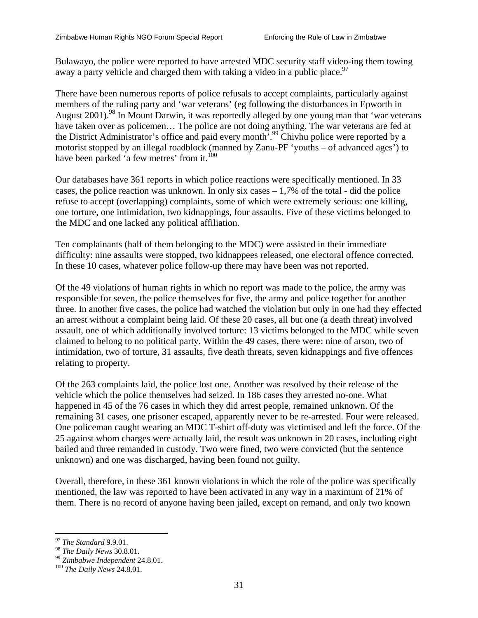Bulawayo, the police were reported to have arrested MDC security staff video-ing them towing away a party vehicle and charged them with taking a video in a public place.<sup>97</sup>

There have been numerous reports of police refusals to accept complaints, particularly against members of the ruling party and 'war veterans' (eg following the disturbances in Epworth in August 2001).<sup>98</sup> In Mount Darwin, it was reportedly alleged by one young man that 'war veterans have taken over as policemen... The police are not doing anything. The war veterans are fed at the District Administrator's office and paid every month'.99 Chivhu police were reported by a motorist stopped by an illegal roadblock (manned by Zanu-PF 'youths – of advanced ages') to have been parked 'a few metres' from it.<sup>100</sup>

Our databases have 361 reports in which police reactions were specifically mentioned. In 33 cases, the police reaction was unknown. In only six cases  $-1.7\%$  of the total - did the police refuse to accept (overlapping) complaints, some of which were extremely serious: one killing, one torture, one intimidation, two kidnappings, four assaults. Five of these victims belonged to the MDC and one lacked any political affiliation.

Ten complainants (half of them belonging to the MDC) were assisted in their immediate difficulty: nine assaults were stopped, two kidnappees released, one electoral offence corrected. In these 10 cases, whatever police follow-up there may have been was not reported.

Of the 49 violations of human rights in which no report was made to the police, the army was responsible for seven, the police themselves for five, the army and police together for another three. In another five cases, the police had watched the violation but only in one had they effected an arrest without a complaint being laid. Of these 20 cases, all but one (a death threat) involved assault, one of which additionally involved torture: 13 victims belonged to the MDC while seven claimed to belong to no political party. Within the 49 cases, there were: nine of arson, two of intimidation, two of torture, 31 assaults, five death threats, seven kidnappings and five offences relating to property.

Of the 263 complaints laid, the police lost one. Another was resolved by their release of the vehicle which the police themselves had seized. In 186 cases they arrested no-one. What happened in 45 of the 76 cases in which they did arrest people, remained unknown. Of the remaining 31 cases, one prisoner escaped, apparently never to be re-arrested. Four were released. One policeman caught wearing an MDC T-shirt off-duty was victimised and left the force. Of the 25 against whom charges were actually laid, the result was unknown in 20 cases, including eight bailed and three remanded in custody. Two were fined, two were convicted (but the sentence unknown) and one was discharged, having been found not guilty.

Overall, therefore, in these 361 known violations in which the role of the police was specifically mentioned, the law was reported to have been activated in any way in a maximum of 21% of them. There is no record of anyone having been jailed, except on remand, and only two known

<sup>&</sup>lt;sup>97</sup> The Standard 9.9.01.<br><sup>98</sup> The Daily News 30.8.01.

<sup>98</sup> *The Daily News* 30.8.01. 99 *Zimbabwe Independent* 24.8.01. 100 *The Daily News* 24.8.01.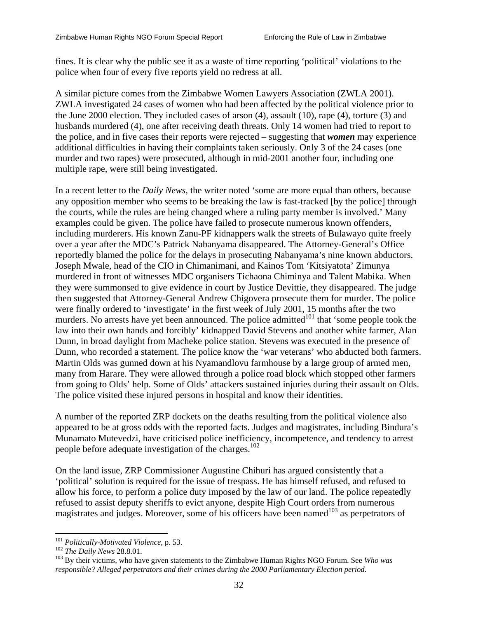fines. It is clear why the public see it as a waste of time reporting 'political' violations to the police when four of every five reports yield no redress at all.

A similar picture comes from the Zimbabwe Women Lawyers Association (ZWLA 2001). ZWLA investigated 24 cases of women who had been affected by the political violence prior to the June 2000 election. They included cases of arson (4), assault (10), rape (4), torture (3) and husbands murdered (4), one after receiving death threats. Only 14 women had tried to report to the police, and in five cases their reports were rejected – suggesting that *women* may experience additional difficulties in having their complaints taken seriously. Only 3 of the 24 cases (one murder and two rapes) were prosecuted, although in mid-2001 another four, including one multiple rape, were still being investigated.

In a recent letter to the *Daily News*, the writer noted 'some are more equal than others, because any opposition member who seems to be breaking the law is fast-tracked [by the police] through the courts, while the rules are being changed where a ruling party member is involved.' Many examples could be given. The police have failed to prosecute numerous known offenders, including murderers. His known Zanu-PF kidnappers walk the streets of Bulawayo quite freely over a year after the MDC's Patrick Nabanyama disappeared. The Attorney-General's Office reportedly blamed the police for the delays in prosecuting Nabanyama's nine known abductors. Joseph Mwale, head of the CIO in Chimanimani, and Kainos Tom 'Kitsiyatota' Zimunya murdered in front of witnesses MDC organisers Tichaona Chiminya and Talent Mabika. When they were summonsed to give evidence in court by Justice Devittie, they disappeared. The judge then suggested that Attorney-General Andrew Chigovera prosecute them for murder. The police were finally ordered to 'investigate' in the first week of July 2001, 15 months after the two murders. No arrests have yet been announced. The police admitted $101$  that 'some people took the law into their own hands and forcibly' kidnapped David Stevens and another white farmer, Alan Dunn, in broad daylight from Macheke police station. Stevens was executed in the presence of Dunn, who recorded a statement. The police know the 'war veterans' who abducted both farmers. Martin Olds was gunned down at his Nyamandlovu farmhouse by a large group of armed men, many from Harare. They were allowed through a police road block which stopped other farmers from going to Olds' help. Some of Olds' attackers sustained injuries during their assault on Olds. The police visited these injured persons in hospital and know their identities.

A number of the reported ZRP dockets on the deaths resulting from the political violence also appeared to be at gross odds with the reported facts. Judges and magistrates, including Bindura's Munamato Mutevedzi, have criticised police inefficiency, incompetence, and tendency to arrest people before adequate investigation of the charges.<sup>102</sup>

On the land issue, ZRP Commissioner Augustine Chihuri has argued consistently that a 'political' solution is required for the issue of trespass. He has himself refused, and refused to allow his force, to perform a police duty imposed by the law of our land. The police repeatedly refused to assist deputy sheriffs to evict anyone, despite High Court orders from numerous magistrates and judges. Moreover, some of his officers have been named<sup>103</sup> as perpetrators of

 $\overline{a}$ 

<sup>&</sup>lt;sup>101</sup> *Politically-Motivated Violence,* p. 53.<br><sup>102</sup> *The Daily News* 28.8.01.<br><sup>103</sup> By their victims, who have given statements to the Zimbabwe Human Rights NGO Forum. See *Who was responsible? Alleged perpetrators and their crimes during the 2000 Parliamentary Election period.*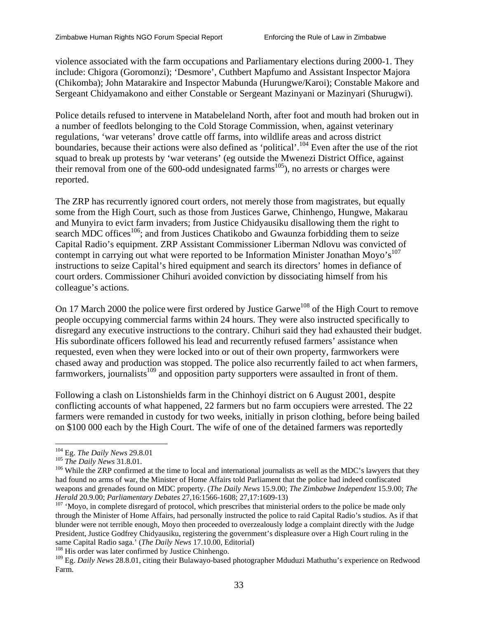violence associated with the farm occupations and Parliamentary elections during 2000-1. They include: Chigora (Goromonzi); 'Desmore', Cuthbert Mapfumo and Assistant Inspector Majora (Chikomba); John Matarakire and Inspector Mabunda (Hurungwe/Karoi); Constable Makore and Sergeant Chidyamakono and either Constable or Sergeant Mazinyani or Mazinyari (Shurugwi).

Police details refused to intervene in Matabeleland North, after foot and mouth had broken out in a number of feedlots belonging to the Cold Storage Commission, when, against veterinary regulations, 'war veterans' drove cattle off farms, into wildlife areas and across district boundaries, because their actions were also defined as 'political'.<sup>104</sup> Even after the use of the riot squad to break up protests by 'war veterans' (eg outside the Mwenezi District Office, against their removal from one of the 600-odd undesignated farms<sup>105</sup>), no arrests or charges were reported.

The ZRP has recurrently ignored court orders, not merely those from magistrates, but equally some from the High Court, such as those from Justices Garwe, Chinhengo, Hungwe, Makarau and Munyira to evict farm invaders; from Justice Chidyausiku disallowing them the right to search MDC offices<sup>106</sup>; and from Justices Chatikobo and Gwaunza forbidding them to seize Capital Radio's equipment. ZRP Assistant Commissioner Liberman Ndlovu was convicted of contempt in carrying out what were reported to be Information Minister Jonathan Moyo's<sup>107</sup> instructions to seize Capital's hired equipment and search its directors' homes in defiance of court orders. Commissioner Chihuri avoided conviction by dissociating himself from his colleague's actions.

On 17 March 2000 the police were first ordered by Justice Garwe<sup>108</sup> of the High Court to remove people occupying commercial farms within 24 hours. They were also instructed specifically to disregard any executive instructions to the contrary. Chihuri said they had exhausted their budget. His subordinate officers followed his lead and recurrently refused farmers' assistance when requested, even when they were locked into or out of their own property, farmworkers were chased away and production was stopped. The police also recurrently failed to act when farmers, farmworkers, journalists<sup>109</sup> and opposition party supporters were assaulted in front of them.

Following a clash on Listonshields farm in the Chinhoyi district on 6 August 2001, despite conflicting accounts of what happened, 22 farmers but no farm occupiers were arrested. The 22 farmers were remanded in custody for two weeks, initially in prison clothing, before being bailed on \$100 000 each by the High Court. The wife of one of the detained farmers was reportedly

 $104$  Eg. The Daily News 29.8.01

<sup>&</sup>lt;sup>105</sup> The Daily News 31.8.01.<br><sup>106</sup> While the ZRP confirmed at the time to local and international journalists as well as the MDC's lawyers that they had found no arms of war, the Minister of Home Affairs told Parliament that the police had indeed confiscated weapons and grenades found on MDC property. (*The Daily News* 15.9.00; *The Zimbabwe Independent* 15.9.00; *The Herald* 20.9.00; *Parliamentary Debates* 27,16:1566-1608; 27,17:1609-13)<br><sup>107</sup> 'Moyo, in complete disregard of protocol, which prescribes that ministerial orders to the police be made only

through the Minister of Home Affairs, had personally instructed the police to raid Capital Radio's studios. As if that blunder were not terrible enough, Moyo then proceeded to overzealously lodge a complaint directly with the Judge President, Justice Godfrey Chidyausiku, registering the government's displeasure over a High Court ruling in the same Capital Radio saga.' (*The Daily News* 17.10.00, Editorial) 108 His order was later confirmed by Justice Chinhengo.

<sup>109</sup> Eg. *Daily News* 28.8.01, citing their Bulawayo-based photographer Mduduzi Mathuthu's experience on Redwood Farm.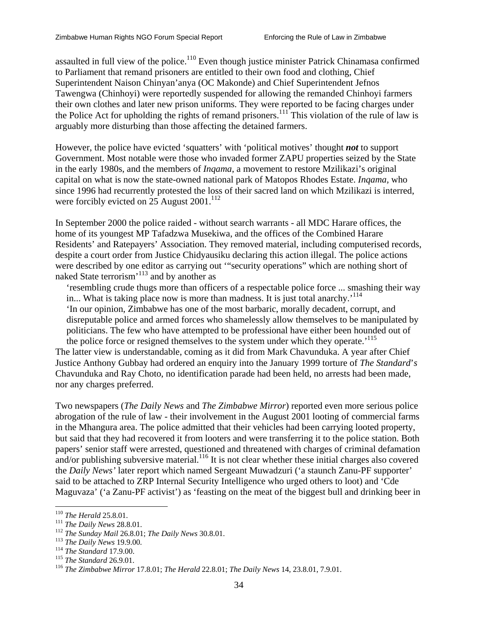assaulted in full view of the police.<sup>110</sup> Even though justice minister Patrick Chinamasa confirmed to Parliament that remand prisoners are entitled to their own food and clothing, Chief Superintendent Naison Chinyan'anya (OC Makonde) and Chief Superintendent Jefnos Tawengwa (Chinhoyi) were reportedly suspended for allowing the remanded Chinhoyi farmers their own clothes and later new prison uniforms. They were reported to be facing charges under the Police Act for upholding the rights of remand prisoners.<sup>111</sup> This violation of the rule of law is arguably more disturbing than those affecting the detained farmers.

However, the police have evicted 'squatters' with 'political motives' thought *not* to support Government. Most notable were those who invaded former ZAPU properties seized by the State in the early 1980s, and the members of *Inqama*, a movement to restore Mzilikazi's original capital on what is now the state-owned national park of Matopos Rhodes Estate. *Inqama,* who since 1996 had recurrently protested the loss of their sacred land on which Mzilikazi is interred, were forcibly evicted on 25 August  $2001$ .<sup>112</sup>

In September 2000 the police raided - without search warrants - all MDC Harare offices, the home of its youngest MP Tafadzwa Musekiwa, and the offices of the Combined Harare Residents' and Ratepayers' Association. They removed material, including computerised records, despite a court order from Justice Chidyausiku declaring this action illegal. The police actions were described by one editor as carrying out '"security operations" which are nothing short of naked State terrorism'113 and by another as

'resembling crude thugs more than officers of a respectable police force ... smashing their way in... What is taking place now is more than madness. It is just total anarchy.<sup>114</sup> 'In our opinion, Zimbabwe has one of the most barbaric, morally decadent, corrupt, and disreputable police and armed forces who shamelessly allow themselves to be manipulated by politicians. The few who have attempted to be professional have either been hounded out of the police force or resigned themselves to the system under which they operate.<sup>115</sup>

The latter view is understandable, coming as it did from Mark Chavunduka. A year after Chief Justice Anthony Gubbay had ordered an enquiry into the January 1999 torture of *The Standard*'*s* Chavunduka and Ray Choto, no identification parade had been held, no arrests had been made, nor any charges preferred.

Two newspapers (*The Daily News* and *The Zimbabwe Mirror*) reported even more serious police abrogation of the rule of law - their involvement in the August 2001 looting of commercial farms in the Mhangura area. The police admitted that their vehicles had been carrying looted property, but said that they had recovered it from looters and were transferring it to the police station. Both papers' senior staff were arrested, questioned and threatened with charges of criminal defamation  $\frac{1}{2}$  and/or publishing subversive material.<sup>116</sup> It is not clear whether these initial charges also covered the *Daily News'* later report which named Sergeant Muwadzuri ('a staunch Zanu-PF supporter' said to be attached to ZRP Internal Security Intelligence who urged others to loot) and 'Cde Maguvaza' ('a Zanu-PF activist') as 'feasting on the meat of the biggest bull and drinking beer in

 $110$  The Herald 25.8.01.

<sup>&</sup>lt;sup>111</sup> The Daily News 28.8.01.<br><sup>112</sup> The Sunday Mail 26.8.01; The Daily News 30.8.01.<br><sup>113</sup> The Daily News 19.9.00.<br><sup>114</sup> The Standard 17.9.00.<br><sup>115</sup> The Standard 26.9.01.<br><sup>116</sup> The Zimbabwe Mirror 17.8.01; The Herald 22.8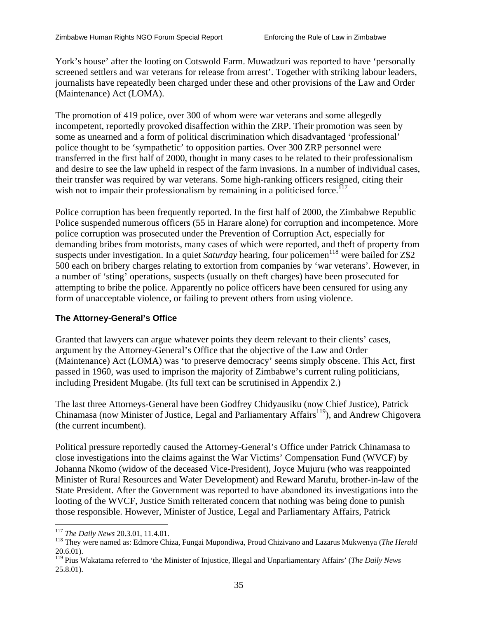York's house' after the looting on Cotswold Farm. Muwadzuri was reported to have 'personally screened settlers and war veterans for release from arrest'. Together with striking labour leaders, journalists have repeatedly been charged under these and other provisions of the Law and Order (Maintenance) Act (LOMA).

The promotion of 419 police, over 300 of whom were war veterans and some allegedly incompetent, reportedly provoked disaffection within the ZRP. Their promotion was seen by some as unearned and a form of political discrimination which disadvantaged 'professional' police thought to be 'sympathetic' to opposition parties. Over 300 ZRP personnel were transferred in the first half of 2000, thought in many cases to be related to their professionalism and desire to see the law upheld in respect of the farm invasions. In a number of individual cases, their transfer was required by war veterans. Some high-ranking officers resigned, citing their wish not to impair their professionalism by remaining in a politicised force.<sup>117</sup>

Police corruption has been frequently reported. In the first half of 2000, the Zimbabwe Republic Police suspended numerous officers (55 in Harare alone) for corruption and incompetence. More police corruption was prosecuted under the Prevention of Corruption Act, especially for demanding bribes from motorists, many cases of which were reported, and theft of property from suspects under investigation. In a quiet *Saturday* hearing, four policemen<sup>118</sup> were bailed for Z\$2 500 each on bribery charges relating to extortion from companies by 'war veterans'. However, in a number of 'sting' operations, suspects (usually on theft charges) have been prosecuted for attempting to bribe the police. Apparently no police officers have been censured for using any form of unacceptable violence, or failing to prevent others from using violence.

# **The Attorney-General's Office**

Granted that lawyers can argue whatever points they deem relevant to their clients' cases, argument by the Attorney-General's Office that the objective of the Law and Order (Maintenance) Act (LOMA) was 'to preserve democracy' seems simply obscene. This Act, first passed in 1960, was used to imprison the majority of Zimbabwe's current ruling politicians, including President Mugabe. (Its full text can be scrutinised in Appendix 2.)

The last three Attorneys-General have been Godfrey Chidyausiku (now Chief Justice), Patrick Chinamasa (now Minister of Justice, Legal and Parliamentary Affairs<sup>119</sup>), and Andrew Chigovera (the current incumbent).

Political pressure reportedly caused the Attorney-General's Office under Patrick Chinamasa to close investigations into the claims against the War Victims' Compensation Fund (WVCF) by Johanna Nkomo (widow of the deceased Vice-President), Joyce Mujuru (who was reappointed Minister of Rural Resources and Water Development) and Reward Marufu, brother-in-law of the State President. After the Government was reported to have abandoned its investigations into the looting of the WVCF, Justice Smith reiterated concern that nothing was being done to punish those responsible. However, Minister of Justice, Legal and Parliamentary Affairs, Patrick

<sup>&</sup>lt;sup>117</sup> The Daily News 20.3.01, 11.4.01.

<sup>&</sup>lt;sup>118</sup> Thev were named as: Edmore Chiza, Fungai Mupondiwa, Proud Chizivano and Lazarus Mukwenya (*The Herald* 20.6.01).

<sup>119</sup> Pius Wakatama referred to 'the Minister of Injustice, Illegal and Unparliamentary Affairs' (*The Daily News* 25.8.01).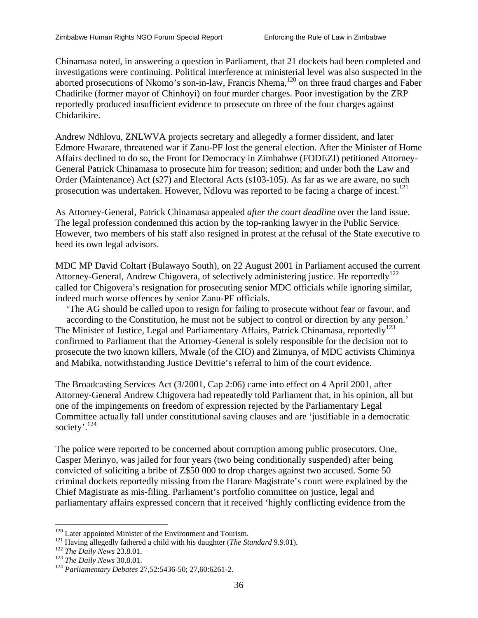Chinamasa noted, in answering a question in Parliament, that 21 dockets had been completed and investigations were continuing. Political interference at ministerial level was also suspected in the aborted prosecutions of Nkomo's son-in-law, Francis Nhema,<sup>120</sup> on three fraud charges and Faber Chadirike (former mayor of Chinhoyi) on four murder charges. Poor investigation by the ZRP reportedly produced insufficient evidence to prosecute on three of the four charges against Chidarikire.

Andrew Ndhlovu, ZNLWVA projects secretary and allegedly a former dissident, and later Edmore Hwarare, threatened war if Zanu-PF lost the general election. After the Minister of Home Affairs declined to do so, the Front for Democracy in Zimbabwe (FODEZI) petitioned Attorney-General Patrick Chinamasa to prosecute him for treason; sedition; and under both the Law and Order (Maintenance) Act (s27) and Electoral Acts (s103-105). As far as we are aware, no such prosecution was undertaken. However, Ndlovu was reported to be facing a charge of incest.<sup>121</sup>

As Attorney-General, Patrick Chinamasa appealed *after the court deadline* over the land issue. The legal profession condemned this action by the top-ranking lawyer in the Public Service*.* However, two members of his staff also resigned in protest at the refusal of the State executive to heed its own legal advisors.

MDC MP David Coltart (Bulawayo South), on 22 August 2001 in Parliament accused the current Attorney-General, Andrew Chigovera, of selectively administering justice. He reportedly<sup>122</sup> called for Chigovera's resignation for prosecuting senior MDC officials while ignoring similar, indeed much worse offences by senior Zanu-PF officials.

'The AG should be called upon to resign for failing to prosecute without fear or favour, and according to the Constitution, he must not be subject to control or direction by any person.' The Minister of Justice, Legal and Parliamentary Affairs, Patrick Chinamasa, reportedly<sup>123</sup> confirmed to Parliament that the Attorney-General is solely responsible for the decision not to prosecute the two known killers, Mwale (of the CIO) and Zimunya, of MDC activists Chiminya and Mabika, notwithstanding Justice Devittie's referral to him of the court evidence.

The Broadcasting Services Act (3/2001, Cap 2:06) came into effect on 4 April 2001, after Attorney-General Andrew Chigovera had repeatedly told Parliament that, in his opinion, all but one of the impingements on freedom of expression rejected by the Parliamentary Legal Committee actually fall under constitutional saving clauses and are 'justifiable in a democratic society'.<sup>124</sup>

The police were reported to be concerned about corruption among public prosecutors. One, Casper Merinyo, was jailed for four years (two being conditionally suspended) after being convicted of soliciting a bribe of Z\$50 000 to drop charges against two accused. Some 50 criminal dockets reportedly missing from the Harare Magistrate's court were explained by the Chief Magistrate as mis-filing. Parliament's portfolio committee on justice, legal and parliamentary affairs expressed concern that it received 'highly conflicting evidence from the

<sup>&</sup>lt;sup>120</sup> Later appointed Minister of the Environment and Tourism.

<sup>&</sup>lt;sup>121</sup> Having allegedly fathered a child with his daughter (*The Standard* 9.9.01).<br><sup>122</sup> *The Daily News* 23.8.01.<br><sup>123</sup> *The Daily News* 30.8.01.<br><sup>124</sup> *Parliamentary Debates* 27,52:5436-50; 27,60:6261-2.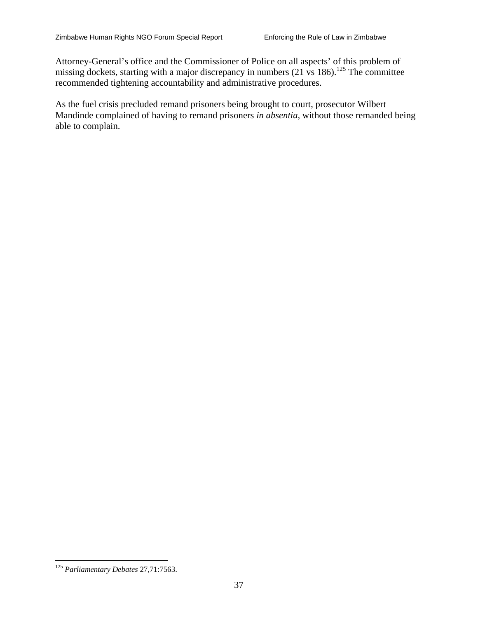Attorney-General's office and the Commissioner of Police on all aspects' of this problem of missing dockets, starting with a major discrepancy in numbers  $(21 \text{ vs } 186)$ .<sup>125</sup> The committee recommended tightening accountability and administrative procedures.

As the fuel crisis precluded remand prisoners being brought to court, prosecutor Wilbert Mandinde complained of having to remand prisoners *in absentia*, without those remanded being able to complain.

 $\overline{a}$ <sup>125</sup> *Parliamentary Debates* 27,71:7563.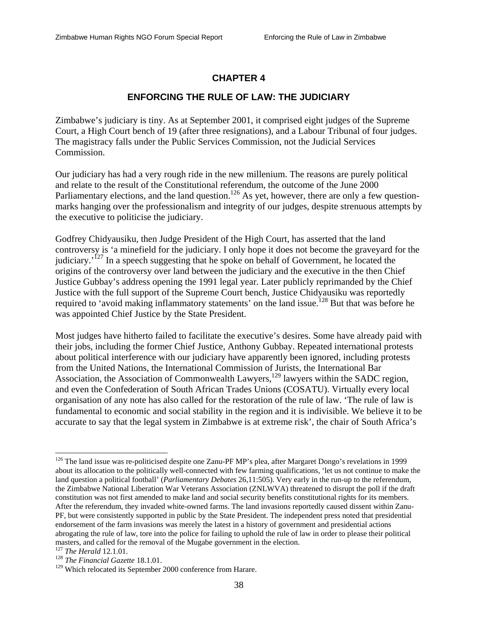# **CHAPTER 4**

# **ENFORCING THE RULE OF LAW: THE JUDICIARY**

Zimbabwe's judiciary is tiny. As at September 2001, it comprised eight judges of the Supreme Court, a High Court bench of 19 (after three resignations), and a Labour Tribunal of four judges. The magistracy falls under the Public Services Commission, not the Judicial Services Commission.

Our judiciary has had a very rough ride in the new millenium. The reasons are purely political and relate to the result of the Constitutional referendum, the outcome of the June 2000 Parliamentary elections, and the land question.<sup>126</sup> As yet, however, there are only a few questionmarks hanging over the professionalism and integrity of our judges, despite strenuous attempts by the executive to politicise the judiciary.

Godfrey Chidyausiku, then Judge President of the High Court, has asserted that the land controversy is 'a minefield for the judiciary. I only hope it does not become the graveyard for the judiciary.<sup>127</sup> In a speech suggesting that he spoke on behalf of Government, he located the origins of the controversy over land between the judiciary and the executive in the then Chief Justice Gubbay's address opening the 1991 legal year. Later publicly reprimanded by the Chief Justice with the full support of the Supreme Court bench, Justice Chidyausiku was reportedly required to 'avoid making inflammatory statements' on the land issue.<sup>128</sup> But that was before he was appointed Chief Justice by the State President.

Most judges have hitherto failed to facilitate the executive's desires. Some have already paid with their jobs, including the former Chief Justice, Anthony Gubbay. Repeated international protests about political interference with our judiciary have apparently been ignored, including protests from the United Nations, the International Commission of Jurists, the International Bar Association, the Association of Commonwealth Lawyers,<sup>129</sup> lawyers within the SADC region, and even the Confederation of South African Trades Unions (COSATU). Virtually every local organisation of any note has also called for the restoration of the rule of law. 'The rule of law is fundamental to economic and social stability in the region and it is indivisible. We believe it to be accurate to say that the legal system in Zimbabwe is at extreme risk', the chair of South Africa's

 $126$  The land issue was re-politicised despite one Zanu-PF MP's plea, after Margaret Dongo's revelations in 1999 about its allocation to the politically well-connected with few farming qualifications, 'let us not continue to make the land question a political football' (*Parliamentary Debates* 26,11:505). Very early in the run-up to the referendum, the Zimbabwe National Liberation War Veterans Association (ZNLWVA) threatened to disrupt the poll if the draft constitution was not first amended to make land and social security benefits constitutional rights for its members. After the referendum, they invaded white-owned farms. The land invasions reportedly caused dissent within Zanu-PF, but were consistently supported in public by the State President. The independent press noted that presidential endorsement of the farm invasions was merely the latest in a history of government and presidential actions abrogating the rule of law, tore into the police for failing to uphold the rule of law in order to please their political masters, and called for the removal of the Mugabe government in the election.

<sup>&</sup>lt;sup>127</sup> The Herald 12.1.01.<br><sup>128</sup> The Financial Gazette 18.1.01.

<sup>&</sup>lt;sup>129</sup> Which relocated its September 2000 conference from Harare.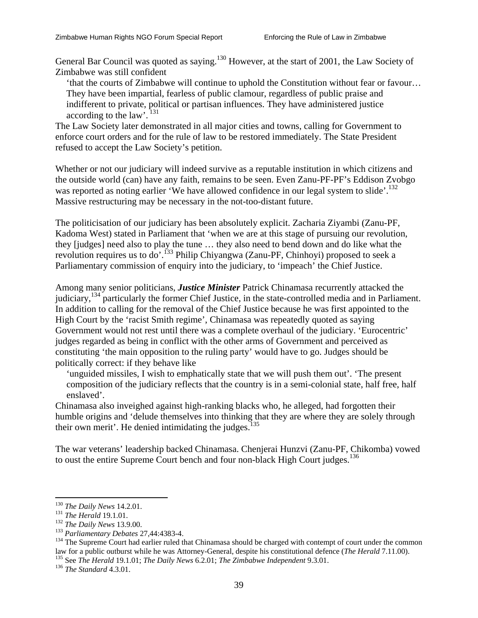General Bar Council was quoted as saying.<sup>130</sup> However, at the start of 2001, the Law Society of Zimbabwe was still confident

'that the courts of Zimbabwe will continue to uphold the Constitution without fear or favour… They have been impartial, fearless of public clamour, regardless of public praise and indifferent to private, political or partisan influences. They have administered justice according to the law'.  $^{131}$ 

The Law Society later demonstrated in all major cities and towns, calling for Government to enforce court orders and for the rule of law to be restored immediately. The State President refused to accept the Law Society's petition.

Whether or not our judiciary will indeed survive as a reputable institution in which citizens and the outside world (can) have any faith, remains to be seen. Even Zanu-PF-PF's Eddison Zvobgo was reported as noting earlier 'We have allowed confidence in our legal system to slide'.<sup>132</sup> Massive restructuring may be necessary in the not-too-distant future.

The politicisation of our judiciary has been absolutely explicit. Zacharia Ziyambi (Zanu-PF, Kadoma West) stated in Parliament that 'when we are at this stage of pursuing our revolution, they [judges] need also to play the tune … they also need to bend down and do like what the revolution requires us to do'.133 Philip Chiyangwa (Zanu-PF, Chinhoyi) proposed to seek a Parliamentary commission of enquiry into the judiciary, to 'impeach' the Chief Justice.

Among many senior politicians, *Justice Minister* Patrick Chinamasa recurrently attacked the judiciary,134 particularly the former Chief Justice, in the state-controlled media and in Parliament. In addition to calling for the removal of the Chief Justice because he was first appointed to the High Court by the 'racist Smith regime', Chinamasa was repeatedly quoted as saying Government would not rest until there was a complete overhaul of the judiciary. 'Eurocentric' judges regarded as being in conflict with the other arms of Government and perceived as constituting 'the main opposition to the ruling party' would have to go. Judges should be politically correct: if they behave like

'unguided missiles, I wish to emphatically state that we will push them out'. 'The present composition of the judiciary reflects that the country is in a semi-colonial state, half free, half enslaved'.

Chinamasa also inveighed against high-ranking blacks who, he alleged, had forgotten their humble origins and 'delude themselves into thinking that they are where they are solely through their own merit'. He denied intimidating the judges. $135$ 

The war veterans' leadership backed Chinamasa. Chenjerai Hunzvi (Zanu-PF, Chikomba) vowed to oust the entire Supreme Court bench and four non-black High Court judges.<sup>136</sup>

<sup>&</sup>lt;sup>130</sup> The Daily News 14.2.01.<br><sup>131</sup> The Herald 19.1.01.<br><sup>132</sup> The Daily News 13.9.00.<br><sup>132</sup> Parliamentary Debates 27,44:4383-4.<br><sup>134</sup> The Supreme Court had earlier ruled that Chinamasa should be charged with contempt of co law for a public outburst while he was Attorney-General, despite his constitutional defence (*The Herald 7.11.00*).<br><sup>135</sup> See *The Herald 19.1.01; The Daily News 6.2.01; The Zimbabwe Independent 9.3.01.*<br><sup>136</sup> *The Standar*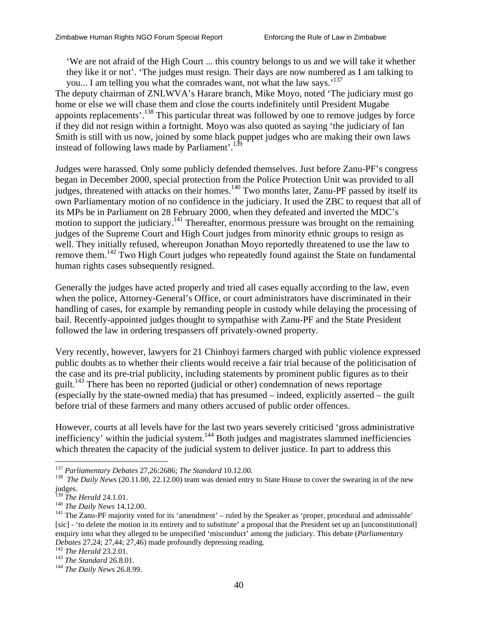'We are not afraid of the High Court ... this country belongs to us and we will take it whether they like it or not'. 'The judges must resign. Their days are now numbered as I am talking to you... I am telling you what the comrades want, not what the law says.<sup>137</sup>

The deputy chairman of ZNLWVA's Harare branch, Mike Moyo, noted 'The judiciary must go home or else we will chase them and close the courts indefinitely until President Mugabe appoints replacements'.<sup>138</sup> This particular threat was followed by one to remove judges by force if they did not resign within a fortnight. Moyo was also quoted as saying 'the judiciary of Ian Smith is still with us now, joined by some black puppet judges who are making their own laws instead of following laws made by Parliament'.<sup>139</sup>

Judges were harassed. Only some publicly defended themselves. Just before Zanu-PF's congress began in December 2000, special protection from the Police Protection Unit was provided to all judges, threatened with attacks on their homes.<sup>140</sup> Two months later, Zanu-PF passed by itself its own Parliamentary motion of no confidence in the judiciary. It used the ZBC to request that all of its MPs be in Parliament on 28 February 2000, when they defeated and inverted the MDC's motion to support the judiciary.<sup>141</sup> Thereafter, enormous pressure was brought on the remaining judges of the Supreme Court and High Court judges from minority ethnic groups to resign as well. They initially refused, whereupon Jonathan Moyo reportedly threatened to use the law to remove them.142 Two High Court judges who repeatedly found against the State on fundamental human rights cases subsequently resigned.

Generally the judges have acted properly and tried all cases equally according to the law, even when the police, Attorney-General's Office, or court administrators have discriminated in their handling of cases, for example by remanding people in custody while delaying the processing of bail. Recently-appointed judges thought to sympathise with Zanu-PF and the State President followed the law in ordering trespassers off privately-owned property.

Very recently, however, lawyers for 21 Chinhoyi farmers charged with public violence expressed public doubts as to whether their clients would receive a fair trial because of the politicisation of the case and its pre-trial publicity, including statements by prominent public figures as to their guilt.<sup>143</sup> There has been no reported (judicial or other) condemnation of news reportage (especially by the state-owned media) that has presumed – indeed, explicitly asserted – the guilt before trial of these farmers and many others accused of public order offences.

However, courts at all levels have for the last two years severely criticised 'gross administrative inefficiency' within the judicial system. $144$  Both judges and magistrates slammed inefficiencies which threaten the capacity of the judicial system to deliver justice. In part to address this

<sup>&</sup>lt;sup>137</sup> *Parliamentary Debates* 27,26:2686; *The Standard* 10.12.00.<br><sup>138</sup> *The Daily News* (20.11.00, 22.12.00) team was denied entry to State House to cover the swearing in of the new judges.<br> $139$  The Herald 24.1.01.

<sup>&</sup>lt;sup>140</sup> *The Daily News* 14.12.00.<br><sup>141</sup> The Zanu-PF majority voted for its 'amendment' – ruled by the Speaker as 'proper, procedural and admissable' [sic] - 'to delete the motion in its entirety and to substitute' a proposal that the President set up an [unconstitutional] enquiry into what they alleged to be unspecified 'misconduct' among the judiciary. This debate (*Parliamentary Debates* 27,24; 27,44; 27,46) made profoundly depressing reading. <sup>142</sup> *The Herald* 23.2.01. <sup>143</sup> *The Standard* 26.8.01. 144 *The Daily News* 26.8.99.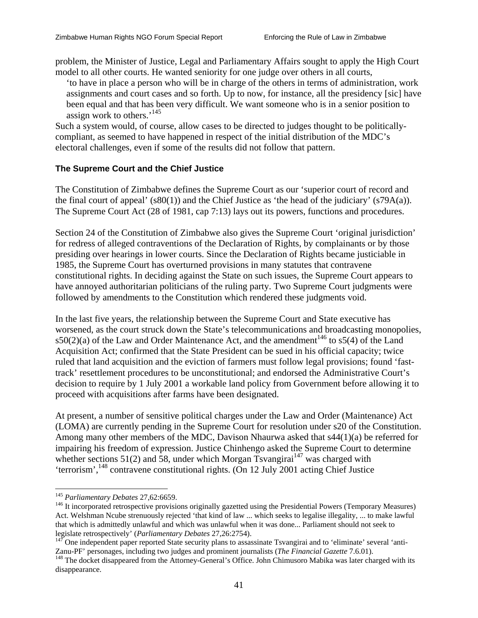problem, the Minister of Justice, Legal and Parliamentary Affairs sought to apply the High Court model to all other courts. He wanted seniority for one judge over others in all courts,

'to have in place a person who will be in charge of the others in terms of administration, work assignments and court cases and so forth. Up to now, for instance, all the presidency [sic] have been equal and that has been very difficult. We want someone who is in a senior position to assign work to others.<sup>'145</sup>

Such a system would, of course, allow cases to be directed to judges thought to be politicallycompliant, as seemed to have happened in respect of the initial distribution of the MDC's electoral challenges, even if some of the results did not follow that pattern.

#### **The Supreme Court and the Chief Justice**

The Constitution of Zimbabwe defines the Supreme Court as our 'superior court of record and the final court of appeal'  $(s80(1))$  and the Chief Justice as 'the head of the judiciary'  $(s79A(a))$ . The Supreme Court Act (28 of 1981, cap 7:13) lays out its powers, functions and procedures.

Section 24 of the Constitution of Zimbabwe also gives the Supreme Court 'original jurisdiction' for redress of alleged contraventions of the Declaration of Rights, by complainants or by those presiding over hearings in lower courts. Since the Declaration of Rights became justiciable in 1985, the Supreme Court has overturned provisions in many statutes that contravene constitutional rights. In deciding against the State on such issues, the Supreme Court appears to have annoyed authoritarian politicians of the ruling party. Two Supreme Court judgments were followed by amendments to the Constitution which rendered these judgments void.

In the last five years, the relationship between the Supreme Court and State executive has worsened, as the court struck down the State's telecommunications and broadcasting monopolies, s50(2)(a) of the Law and Order Maintenance Act, and the amendment<sup>146</sup> to s5(4) of the Land Acquisition Act; confirmed that the State President can be sued in his official capacity; twice ruled that land acquisition and the eviction of farmers must follow legal provisions; found 'fasttrack' resettlement procedures to be unconstitutional; and endorsed the Administrative Court's decision to require by 1 July 2001 a workable land policy from Government before allowing it to proceed with acquisitions after farms have been designated.

At present, a number of sensitive political charges under the Law and Order (Maintenance) Act (LOMA) are currently pending in the Supreme Court for resolution under s20 of the Constitution. Among many other members of the MDC, Davison Nhaurwa asked that s44(1)(a) be referred for impairing his freedom of expression. Justice Chinhengo asked the Supreme Court to determine whether sections 51(2) and 58, under which Morgan Tsvangirai<sup>147</sup> was charged with 'terrorism',<sup>148</sup> contravene constitutional rights. (On 12 July 2001 acting Chief Justice

<sup>&</sup>lt;sup>145</sup> *Parliamentary Debates* 27,62:6659.<br><sup>146</sup> It incorporated retrospective provisions originally gazetted using the Presidential Powers (Temporary Measures) Act. Welshman Ncube strenuously rejected 'that kind of law ... which seeks to legalise illegality, ... to make lawful that which is admittedly unlawful and which was unlawful when it was done... Parliament should not seek to

legislate retrospectively' (*Parliamentary Debates* 27,26:2754). 147 One independent paper reported State security plans to assassinate Tsvangirai and to 'eliminate' several 'anti-Zanu-PF' personages, including two judges and prominent journalists (*The Financial Gazette* 7.6.01). 148 The docket disappeared from the Attorney-General's Office. John Chimusoro Mabika was later charged with its

disappearance.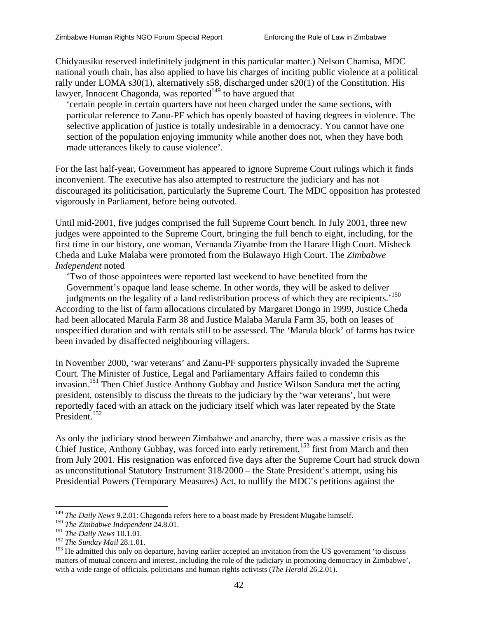Chidyausiku reserved indefinitely judgment in this particular matter.) Nelson Chamisa, MDC national youth chair, has also applied to have his charges of inciting public violence at a political rally under LOMA s30(1), alternatively s58, discharged under s20(1) of the Constitution. His lawyer, Innocent Chagonda, was reported $^{149}$  to have argued that

'certain people in certain quarters have not been charged under the same sections, with particular reference to Zanu-PF which has openly boasted of having degrees in violence. The selective application of justice is totally undesirable in a democracy. You cannot have one section of the population enjoying immunity while another does not, when they have both made utterances likely to cause violence'.

For the last half-year, Government has appeared to ignore Supreme Court rulings which it finds inconvenient. The executive has also attempted to restructure the judiciary and has not discouraged its politicisation, particularly the Supreme Court. The MDC opposition has protested vigorously in Parliament, before being outvoted.

Until mid-2001, five judges comprised the full Supreme Court bench. In July 2001, three new judges were appointed to the Supreme Court, bringing the full bench to eight, including, for the first time in our history, one woman, Vernanda Ziyambe from the Harare High Court. Misheck Cheda and Luke Malaba were promoted from the Bulawayo High Court. The *Zimbabwe Independent* noted

'Two of those appointees were reported last weekend to have benefited from the Government's opaque land lease scheme. In other words, they will be asked to deliver judgments on the legality of a land redistribution process of which they are recipients.<sup>150</sup> According to the list of farm allocations circulated by Margaret Dongo in 1999, Justice Cheda had been allocated Marula Farm 38 and Justice Malaba Marula Farm 35, both on leases of unspecified duration and with rentals still to be assessed. The 'Marula block' of farms has twice been invaded by disaffected neighbouring villagers.

In November 2000, 'war veterans' and Zanu-PF supporters physically invaded the Supreme Court. The Minister of Justice, Legal and Parliamentary Affairs failed to condemn this invasion.<sup>151</sup> Then Chief Justice Anthony Gubbay and Justice Wilson Sandura met the acting president, ostensibly to discuss the threats to the judiciary by the 'war veterans', but were reportedly faced with an attack on the judiciary itself which was later repeated by the State President.152

As only the judiciary stood between Zimbabwe and anarchy, there was a massive crisis as the Chief Justice, Anthony Gubbay, was forced into early retirement,<sup>153</sup> first from March and then from July 2001. His resignation was enforced five days after the Supreme Court had struck down as unconstitutional Statutory Instrument 318/2000 – the State President's attempt, using his Presidential Powers (Temporary Measures) Act, to nullify the MDC's petitions against the

<sup>&</sup>lt;sup>149</sup> The Daily News 9.2.01: Chagonda refers here to a boast made by President Mugabe himself.<br><sup>150</sup> The Zimbabwe Independent 24.8.01.<br><sup>151</sup> The Daily News 10.1.01.<br><sup>151</sup> The Sunday Mail 28.1.01.<br><sup>152</sup> The Sunday Mail 28. matters of mutual concern and interest, including the role of the judiciary in promoting democracy in Zimbabwe', with a wide range of officials, politicians and human rights activists (*The Herald* 26.2.01).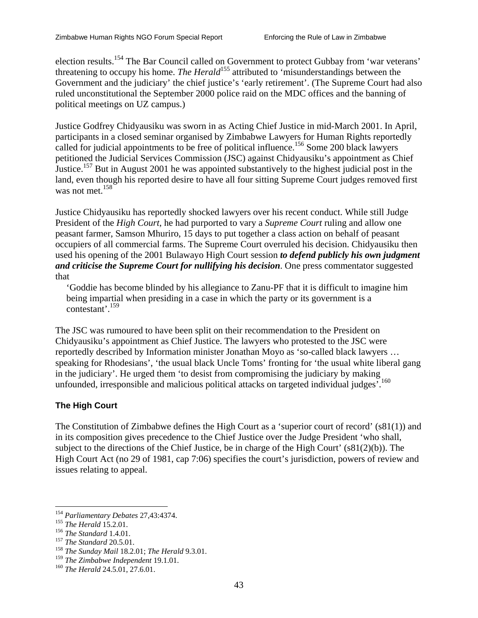election results.<sup>154</sup> The Bar Council called on Government to protect Gubbay from 'war veterans' threatening to occupy his home. *The Herald*<sup>155</sup> attributed to 'misunderstandings between the Government and the judiciary' the chief justice's 'early retirement'. (The Supreme Court had also ruled unconstitutional the September 2000 police raid on the MDC offices and the banning of political meetings on UZ campus.)

Justice Godfrey Chidyausiku was sworn in as Acting Chief Justice in mid-March 2001. In April, participants in a closed seminar organised by Zimbabwe Lawyers for Human Rights reportedly called for judicial appointments to be free of political influence.<sup>156</sup> Some 200 black lawyers petitioned the Judicial Services Commission (JSC) against Chidyausiku's appointment as Chief Justice.157 But in August 2001 he was appointed substantively to the highest judicial post in the land, even though his reported desire to have all four sitting Supreme Court judges removed first was not met. $158$ 

Justice Chidyausiku has reportedly shocked lawyers over his recent conduct. While still Judge President of the *High Court*, he had purported to vary a *Supreme Court* ruling and allow one peasant farmer, Samson Mhuriro, 15 days to put together a class action on behalf of peasant occupiers of all commercial farms. The Supreme Court overruled his decision. Chidyausiku then used his opening of the 2001 Bulawayo High Court session *to defend publicly his own judgment and criticise the Supreme Court for nullifying his decision*. One press commentator suggested that

'Goddie has become blinded by his allegiance to Zanu-PF that it is difficult to imagine him being impartial when presiding in a case in which the party or its government is a contestant'.159

The JSC was rumoured to have been split on their recommendation to the President on Chidyausiku's appointment as Chief Justice. The lawyers who protested to the JSC were reportedly described by Information minister Jonathan Moyo as 'so-called black lawyers … speaking for Rhodesians', 'the usual black Uncle Toms' fronting for 'the usual white liberal gang in the judiciary'. He urged them 'to desist from compromising the judiciary by making unfounded, irresponsible and malicious political attacks on targeted individual judges.<sup>160</sup>

# **The High Court**

The Constitution of Zimbabwe defines the High Court as a 'superior court of record' (s81(1)) and in its composition gives precedence to the Chief Justice over the Judge President 'who shall, subject to the directions of the Chief Justice, be in charge of the High Court' (s81(2)(b)). The High Court Act (no 29 of 1981, cap 7:06) specifies the court's jurisdiction, powers of review and issues relating to appeal.

<sup>&</sup>lt;sup>154</sup> *Parliamentary Debates* 27,43:4374.<br><sup>155</sup> *The Herald* 15.2.01.<br><sup>156</sup> *The Standard* 20.5.01.<br><sup>157</sup> *The Sunday Mail* 18.2.01; *The Herald* 9.3.01.<br><sup>158</sup> *The Sunday Mail* 18.2.01; *The Herald* 9.3.01.

<sup>159</sup> *The Zimbabwe Independent* 19.1.01. <sup>160</sup> *The Herald* 24.5.01, 27.6.01.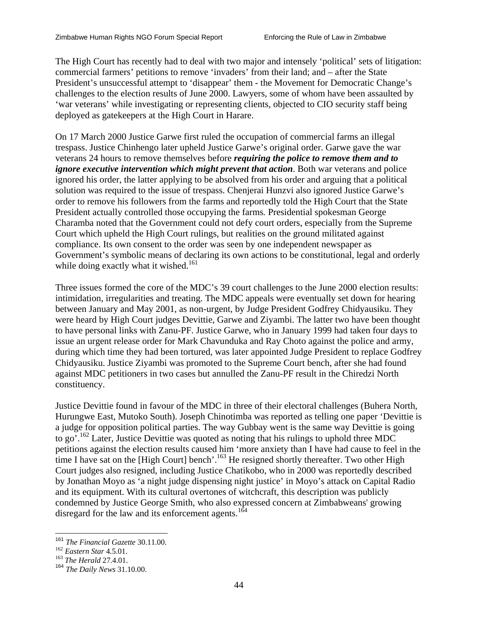The High Court has recently had to deal with two major and intensely 'political' sets of litigation: commercial farmers' petitions to remove 'invaders' from their land; and – after the State President's unsuccessful attempt to 'disappear' them - the Movement for Democratic Change's challenges to the election results of June 2000. Lawyers, some of whom have been assaulted by 'war veterans' while investigating or representing clients, objected to CIO security staff being deployed as gatekeepers at the High Court in Harare.

On 17 March 2000 Justice Garwe first ruled the occupation of commercial farms an illegal trespass. Justice Chinhengo later upheld Justice Garwe's original order. Garwe gave the war veterans 24 hours to remove themselves before *requiring the police to remove them and to ignore executive intervention which might prevent that action*. Both war veterans and police ignored his order, the latter applying to be absolved from his order and arguing that a political solution was required to the issue of trespass. Chenjerai Hunzvi also ignored Justice Garwe's order to remove his followers from the farms and reportedly told the High Court that the State President actually controlled those occupying the farms*.* Presidential spokesman George Charamba noted that the Government could not defy court orders, especially from the Supreme Court which upheld the High Court rulings, but realities on the ground militated against compliance. Its own consent to the order was seen by one independent newspaper as Government's symbolic means of declaring its own actions to be constitutional, legal and orderly while doing exactly what it wished.<sup>161</sup>

Three issues formed the core of the MDC's 39 court challenges to the June 2000 election results: intimidation, irregularities and treating. The MDC appeals were eventually set down for hearing between January and May 2001, as non-urgent, by Judge President Godfrey Chidyausiku. They were heard by High Court judges Devittie, Garwe and Ziyambi. The latter two have been thought to have personal links with Zanu-PF. Justice Garwe, who in January 1999 had taken four days to issue an urgent release order for Mark Chavunduka and Ray Choto against the police and army, during which time they had been tortured, was later appointed Judge President to replace Godfrey Chidyausiku. Justice Ziyambi was promoted to the Supreme Court bench, after she had found against MDC petitioners in two cases but annulled the Zanu-PF result in the Chiredzi North constituency.

Justice Devittie found in favour of the MDC in three of their electoral challenges (Buhera North, Hurungwe East, Mutoko South). Joseph Chinotimba was reported as telling one paper 'Devittie is a judge for opposition political parties. The way Gubbay went is the same way Devittie is going to go'.<sup>162</sup> Later, Justice Devittie was quoted as noting that his rulings to uphold three MDC petitions against the election results caused him 'more anxiety than I have had cause to feel in the time I have sat on the [High Court] bench'.<sup>163</sup> He resigned shortly thereafter. Two other High Court judges also resigned, including Justice Chatikobo, who in 2000 was reportedly described by Jonathan Moyo as 'a night judge dispensing night justice' in Moyo's attack on Capital Radio and its equipment. With its cultural overtones of witchcraft, this description was publicly condemned by Justice George Smith, who also expressed concern at Zimbabweans' growing disregard for the law and its enforcement agents.<sup>164</sup>

<sup>161</sup> *The Financial Gazette* 30.11.00. <sup>162</sup> *Eastern Star* 4.5.01. <sup>163</sup> *The Herald* 27.4.01.

<sup>164</sup> *The Daily News* 31.10.00.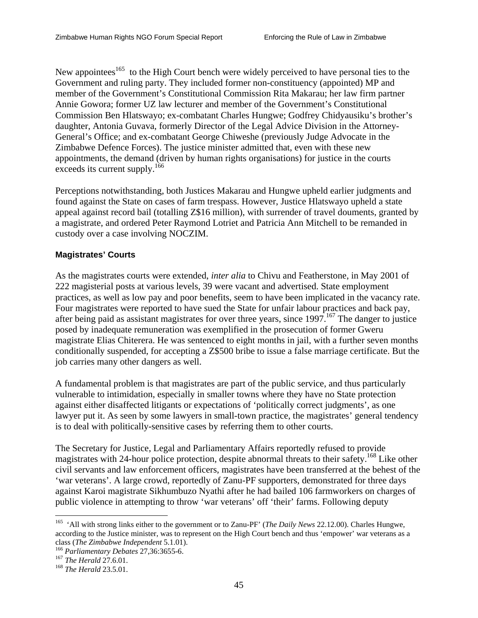New appointees<sup>165</sup> to the High Court bench were widely perceived to have personal ties to the Government and ruling party. They included former non-constituency (appointed) MP and member of the Government's Constitutional Commission Rita Makarau; her law firm partner Annie Gowora; former UZ law lecturer and member of the Government's Constitutional Commission Ben Hlatswayo; ex-combatant Charles Hungwe; Godfrey Chidyausiku's brother's daughter, Antonia Guvava, formerly Director of the Legal Advice Division in the Attorney-General's Office; and ex-combatant George Chiweshe (previously Judge Advocate in the Zimbabwe Defence Forces). The justice minister admitted that, even with these new appointments, the demand (driven by human rights organisations) for justice in the courts exceeds its current supply.<sup>166</sup>

Perceptions notwithstanding, both Justices Makarau and Hungwe upheld earlier judgments and found against the State on cases of farm trespass. However, Justice Hlatswayo upheld a state appeal against record bail (totalling Z\$16 million), with surrender of travel douments, granted by a magistrate, and ordered Peter Raymond Lotriet and Patricia Ann Mitchell to be remanded in custody over a case involving NOCZIM.

## **Magistrates' Courts**

As the magistrates courts were extended, *inter alia* to Chivu and Featherstone, in May 2001 of 222 magisterial posts at various levels, 39 were vacant and advertised. State employment practices, as well as low pay and poor benefits, seem to have been implicated in the vacancy rate. Four magistrates were reported to have sued the State for unfair labour practices and back pay, after being paid as assistant magistrates for over three years, since  $1997<sup>167</sup>$  The danger to justice posed by inadequate remuneration was exemplified in the prosecution of former Gweru magistrate Elias Chiterera. He was sentenced to eight months in jail, with a further seven months conditionally suspended, for accepting a Z\$500 bribe to issue a false marriage certificate. But the job carries many other dangers as well.

A fundamental problem is that magistrates are part of the public service, and thus particularly vulnerable to intimidation, especially in smaller towns where they have no State protection against either disaffected litigants or expectations of 'politically correct judgments', as one lawyer put it. As seen by some lawyers in small-town practice, the magistrates' general tendency is to deal with politically-sensitive cases by referring them to other courts.

The Secretary for Justice, Legal and Parliamentary Affairs reportedly refused to provide magistrates with 24-hour police protection, despite abnormal threats to their safety.<sup>168</sup> Like other civil servants and law enforcement officers, magistrates have been transferred at the behest of the 'war veterans'. A large crowd, reportedly of Zanu-PF supporters, demonstrated for three days against Karoi magistrate Sikhumbuzo Nyathi after he had bailed 106 farmworkers on charges of public violence in attempting to throw 'war veterans' off 'their' farms. Following deputy

<sup>165 &#</sup>x27;All with strong links either to the government or to Zanu-PF' (*The Daily News* 22.12.00). Charles Hungwe, according to the Justice minister, was to represent on the High Court bench and thus 'empower' war veterans as a class (*The Zimbabwe Independent* 5.1.01). 166 *Parliamentary Debates* 27,36:3655-6. 167 *The Herald* 27.6.01. <sup>168</sup> *The Herald* 23.5.01.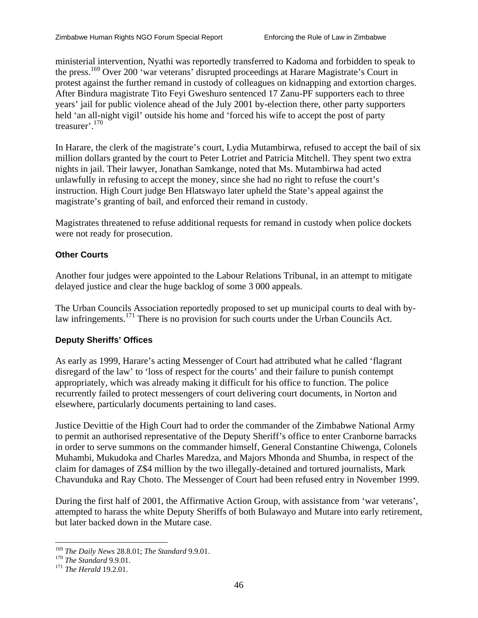ministerial intervention, Nyathi was reportedly transferred to Kadoma and forbidden to speak to the press.<sup>169</sup> Over 200 'war veterans' disrupted proceedings at Harare Magistrate's Court in protest against the further remand in custody of colleagues on kidnapping and extortion charges. After Bindura magistrate Tito Feyi Gweshuro sentenced 17 Zanu-PF supporters each to three years' jail for public violence ahead of the July 2001 by-election there, other party supporters held 'an all-night vigil' outside his home and 'forced his wife to accept the post of party treasurer'.170

In Harare, the clerk of the magistrate's court, Lydia Mutambirwa, refused to accept the bail of six million dollars granted by the court to Peter Lotriet and Patricia Mitchell. They spent two extra nights in jail. Their lawyer, Jonathan Samkange, noted that Ms. Mutambirwa had acted unlawfully in refusing to accept the money, since she had no right to refuse the court's instruction. High Court judge Ben Hlatswayo later upheld the State's appeal against the magistrate's granting of bail, and enforced their remand in custody.

Magistrates threatened to refuse additional requests for remand in custody when police dockets were not ready for prosecution.

# **Other Courts**

Another four judges were appointed to the Labour Relations Tribunal, in an attempt to mitigate delayed justice and clear the huge backlog of some 3 000 appeals.

The Urban Councils Association reportedly proposed to set up municipal courts to deal with bylaw infringements.<sup>171</sup> There is no provision for such courts under the Urban Councils Act.

# **Deputy Sheriffs' Offices**

As early as 1999, Harare's acting Messenger of Court had attributed what he called 'flagrant disregard of the law' to 'loss of respect for the courts' and their failure to punish contempt appropriately, which was already making it difficult for his office to function. The police recurrently failed to protect messengers of court delivering court documents, in Norton and elsewhere, particularly documents pertaining to land cases.

Justice Devittie of the High Court had to order the commander of the Zimbabwe National Army to permit an authorised representative of the Deputy Sheriff's office to enter Cranborne barracks in order to serve summons on the commander himself, General Constantine Chiwenga, Colonels Muhambi, Mukudoka and Charles Maredza, and Majors Mhonda and Shumba, in respect of the claim for damages of Z\$4 million by the two illegally-detained and tortured journalists, Mark Chavunduka and Ray Choto. The Messenger of Court had been refused entry in November 1999.

During the first half of 2001, the Affirmative Action Group, with assistance from 'war veterans', attempted to harass the white Deputy Sheriffs of both Bulawayo and Mutare into early retirement, but later backed down in the Mutare case.

<sup>169</sup> *The Daily News* 28.8.01; *The Standard* 9.9.01. 170 *The Standard* 9.9.01. 171 *The Herald* 19.2.01.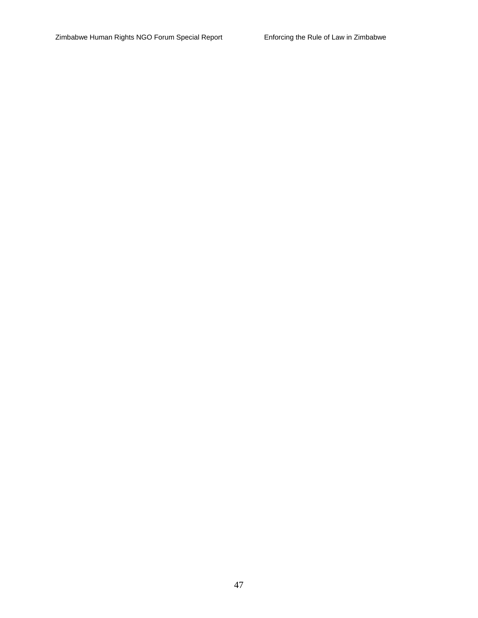47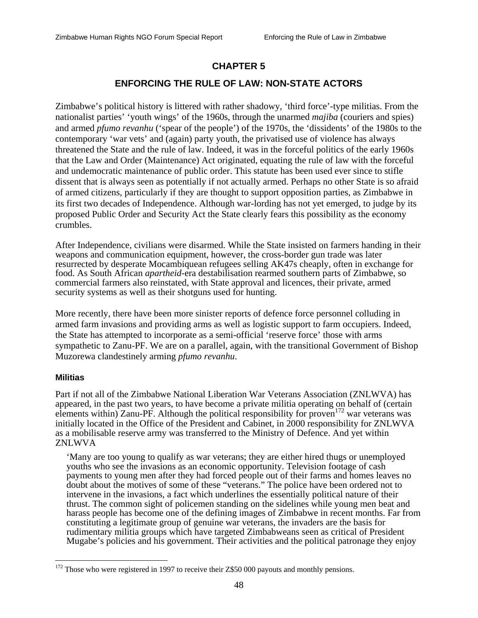# **CHAPTER 5**

# **ENFORCING THE RULE OF LAW: NON-STATE ACTORS**

Zimbabwe's political history is littered with rather shadowy, 'third force'-type militias. From the nationalist parties' 'youth wings' of the 1960s, through the unarmed *majiba* (couriers and spies) and armed *pfumo revanhu* ('spear of the people') of the 1970s, the 'dissidents' of the 1980s to the contemporary 'war vets' and (again) party youth, the privatised use of violence has always threatened the State and the rule of law. Indeed, it was in the forceful politics of the early 1960s that the Law and Order (Maintenance) Act originated, equating the rule of law with the forceful and undemocratic maintenance of public order. This statute has been used ever since to stifle dissent that is always seen as potentially if not actually armed. Perhaps no other State is so afraid of armed citizens, particularly if they are thought to support opposition parties, as Zimbabwe in its first two decades of Independence. Although war-lording has not yet emerged, to judge by its proposed Public Order and Security Act the State clearly fears this possibility as the economy crumbles.

After Independence, civilians were disarmed. While the State insisted on farmers handing in their weapons and communication equipment, however, the cross-border gun trade was later resurrected by desperate Mocambiquean refugees selling AK47s cheaply, often in exchange for food. As South African *apartheid*-era destabilisation rearmed southern parts of Zimbabwe, so commercial farmers also reinstated, with State approval and licences, their private, armed security systems as well as their shotguns used for hunting.

More recently, there have been more sinister reports of defence force personnel colluding in armed farm invasions and providing arms as well as logistic support to farm occupiers. Indeed, the State has attempted to incorporate as a semi-official 'reserve force' those with arms sympathetic to Zanu-PF. We are on a parallel, again, with the transitional Government of Bishop Muzorewa clandestinely arming *pfumo revanhu*.

## **Militias**

 $\overline{a}$ 

Part if not all of the Zimbabwe National Liberation War Veterans Association (ZNLWVA) has appeared, in the past two years, to have become a private militia operating on behalf of (certain elements within) Zanu-PF. Although the political responsibility for proven<sup>172</sup> war veterans was initially located in the Office of the President and Cabinet, in 2000 responsibility for ZNLWVA as a mobilisable reserve army was transferred to the Ministry of Defence. And yet within ZNLWVA

'Many are too young to qualify as war veterans; they are either hired thugs or unemployed youths who see the invasions as an economic opportunity. Television footage of cash payments to young men after they had forced people out of their farms and homes leaves no doubt about the motives of some of these "veterans." The police have been ordered not to intervene in the invasions, a fact which underlines the essentially political nature of their thrust. The common sight of policemen standing on the sidelines while young men beat and harass people has become one of the defining images of Zimbabwe in recent months. Far from constituting a legitimate group of genuine war veterans, the invaders are the basis for rudimentary militia groups which have targeted Zimbabweans seen as critical of President Mugabe's policies and his government. Their activities and the political patronage they enjoy

 $172$  Those who were registered in 1997 to receive their Z\$50 000 payouts and monthly pensions.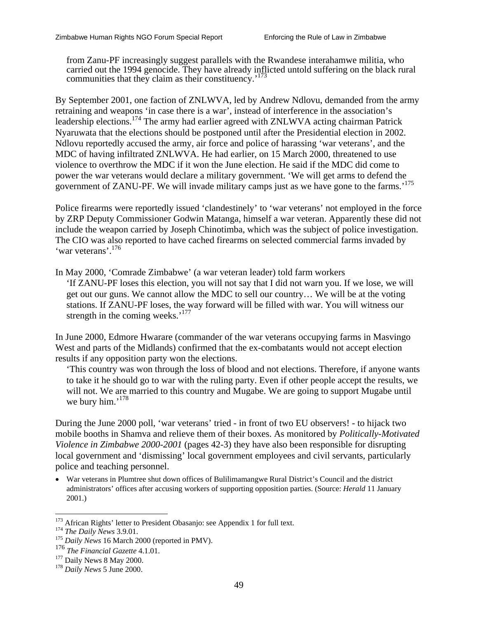from Zanu-PF increasingly suggest parallels with the Rwandese interahamwe militia, who carried out the 1994 genocide. They have already inflicted untold suffering on the black rural communities that they claim as their constituency.<sup>'173</sup>

By September 2001, one faction of ZNLWVA, led by Andrew Ndlovu, demanded from the army retraining and weapons 'in case there is a war', instead of interference in the association's leadership elections.174 The army had earlier agreed with ZNLWVA acting chairman Patrick Nyaruwata that the elections should be postponed until after the Presidential election in 2002. Ndlovu reportedly accused the army, air force and police of harassing 'war veterans', and the MDC of having infiltrated ZNLWVA. He had earlier, on 15 March 2000, threatened to use violence to overthrow the MDC if it won the June election. He said if the MDC did come to power the war veterans would declare a military government. 'We will get arms to defend the government of ZANU-PF. We will invade military camps just as we have gone to the farms.'<sup>175</sup>

Police firearms were reportedly issued 'clandestinely' to 'war veterans' not employed in the force by ZRP Deputy Commissioner Godwin Matanga, himself a war veteran. Apparently these did not include the weapon carried by Joseph Chinotimba, which was the subject of police investigation. The CIO was also reported to have cached firearms on selected commercial farms invaded by 'war veterans'.176

In May 2000, 'Comrade Zimbabwe' (a war veteran leader) told farm workers

'If ZANU-PF loses this election, you will not say that I did not warn you. If we lose, we will get out our guns. We cannot allow the MDC to sell our country… We will be at the voting stations. If ZANU-PF loses, the way forward will be filled with war. You will witness our strength in the coming weeks.<sup>177</sup>

In June 2000, Edmore Hwarare (commander of the war veterans occupying farms in Masvingo West and parts of the Midlands) confirmed that the ex-combatants would not accept election results if any opposition party won the elections.

'This country was won through the loss of blood and not elections. Therefore, if anyone wants to take it he should go to war with the ruling party. Even if other people accept the results, we will not. We are married to this country and Mugabe. We are going to support Mugabe until we bury him.'<sup>178</sup>

During the June 2000 poll, 'war veterans' tried - in front of two EU observers! - to hijack two mobile booths in Shamva and relieve them of their boxes. As monitored by *Politically-Motivated Violence in Zimbabwe 2000-2001* (pages 42-3) they have also been responsible for disrupting local government and 'dismissing' local government employees and civil servants, particularly police and teaching personnel.

 War veterans in Plumtree shut down offices of Bulilimamangwe Rural District's Council and the district administrators' offices after accusing workers of supporting opposition parties. (Source: *Herald* 11 January 2001.)

<sup>&</sup>lt;sup>173</sup> African Rights' letter to President Obasanjo: see Appendix 1 for full text.<br><sup>174</sup> *The Daily News* 3.9.01. <sup>175</sup> *Daily News* 16 March 2000 (reported in PMV).

<sup>&</sup>lt;sup>175</sup> *Daily News* 16 March 2000 (reported in PMV).<br><sup>176</sup> *The Financial Gazette* 4.1.01.<br><sup>177</sup> Daily News 8 May 2000.

<sup>&</sup>lt;sup>178</sup> Daily News 5 June 2000.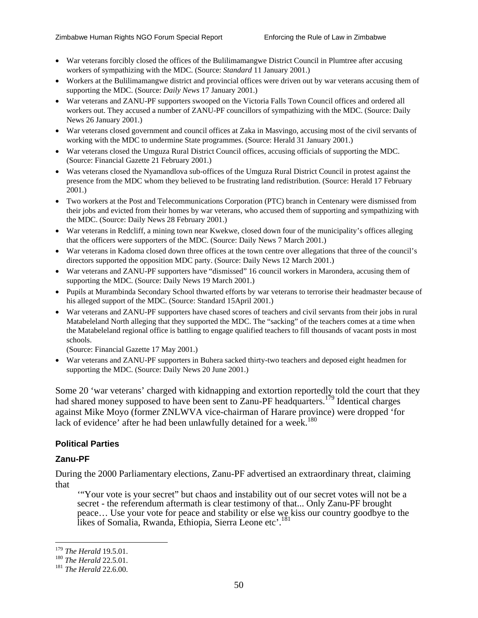- War veterans forcibly closed the offices of the Bulilimamangwe District Council in Plumtree after accusing workers of sympathizing with the MDC. (Source: *Standard* 11 January 2001.)
- Workers at the Bulilimamangwe district and provincial offices were driven out by war veterans accusing them of supporting the MDC. (Source: *Daily News* 17 January 2001.)
- War veterans and ZANU-PF supporters swooped on the Victoria Falls Town Council offices and ordered all workers out. They accused a number of ZANU-PF councillors of sympathizing with the MDC. (Source: Daily News 26 January 2001.)
- War veterans closed government and council offices at Zaka in Masvingo, accusing most of the civil servants of working with the MDC to undermine State programmes. (Source: Herald 31 January 2001.)
- War veterans closed the Umguza Rural District Council offices, accusing officials of supporting the MDC. (Source: Financial Gazette 21 February 2001.)
- Was veterans closed the Nyamandlova sub-offices of the Umguza Rural District Council in protest against the presence from the MDC whom they believed to be frustrating land redistribution. (Source: Herald 17 February 2001.)
- Two workers at the Post and Telecommunications Corporation (PTC) branch in Centenary were dismissed from their jobs and evicted from their homes by war veterans, who accused them of supporting and sympathizing with the MDC. (Source: Daily News 28 February 2001.)
- War veterans in Redcliff, a mining town near Kwekwe, closed down four of the municipality's offices alleging that the officers were supporters of the MDC. (Source: Daily News 7 March 2001.)
- War veterans in Kadoma closed down three offices at the town centre over allegations that three of the council's directors supported the opposition MDC party. (Source: Daily News 12 March 2001.)
- War veterans and ZANU-PF supporters have "dismissed" 16 council workers in Marondera, accusing them of supporting the MDC. (Source: Daily News 19 March 2001.)
- Pupils at Murambinda Secondary School thwarted efforts by war veterans to terrorise their headmaster because of his alleged support of the MDC. (Source: Standard 15April 2001.)
- War veterans and ZANU-PF supporters have chased scores of teachers and civil servants from their jobs in rural Matabeleland North alleging that they supported the MDC. The "sacking" of the teachers comes at a time when the Matabeleland regional office is battling to engage qualified teachers to fill thousands of vacant posts in most schools.

(Source: Financial Gazette 17 May 2001.)

 War veterans and ZANU-PF supporters in Buhera sacked thirty-two teachers and deposed eight headmen for supporting the MDC. (Source: Daily News 20 June 2001.)

Some 20 'war veterans' charged with kidnapping and extortion reportedly told the court that they had shared money supposed to have been sent to Zanu-PF headquarters.<sup>179</sup> Identical charges against Mike Moyo (former ZNLWVA vice-chairman of Harare province) were dropped 'for lack of evidence' after he had been unlawfully detained for a week.<sup>180</sup>

#### **Political Parties**

#### **Zanu-PF**

 $\overline{a}$ 

During the 2000 Parliamentary elections, Zanu-PF advertised an extraordinary threat, claiming that

'"Your vote is your secret" but chaos and instability out of our secret votes will not be a secret - the referendum aftermath is clear testimony of that... Only Zanu-PF brought peace… Use your vote for peace and stability or else we kiss our country goodbye to the likes of Somalia, Rwanda, Ethiopia, Sierra Leone etc'.<sup>181</sup>

<sup>&</sup>lt;sup>179</sup> *The Herald* 19.5.01.<br><sup>180</sup> *The Herald* 22.5.01.<br><sup>181</sup> *The Herald* 22.6.00.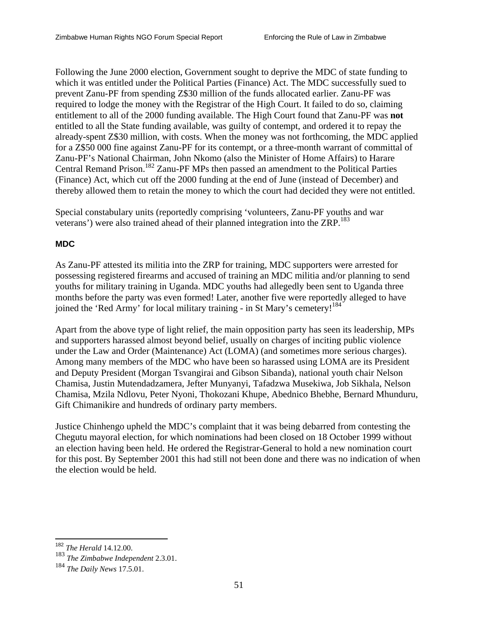Following the June 2000 election, Government sought to deprive the MDC of state funding to which it was entitled under the Political Parties (Finance) Act. The MDC successfully sued to prevent Zanu-PF from spending Z\$30 million of the funds allocated earlier. Zanu-PF was required to lodge the money with the Registrar of the High Court. It failed to do so, claiming entitlement to all of the 2000 funding available. The High Court found that Zanu-PF was **not** entitled to all the State funding available, was guilty of contempt, and ordered it to repay the already-spent Z\$30 million, with costs. When the money was not forthcoming, the MDC applied for a Z\$50 000 fine against Zanu-PF for its contempt, or a three-month warrant of committal of Zanu-PF's National Chairman, John Nkomo (also the Minister of Home Affairs) to Harare Central Remand Prison.182 Zanu-PF MPs then passed an amendment to the Political Parties (Finance) Act, which cut off the 2000 funding at the end of June (instead of December) and thereby allowed them to retain the money to which the court had decided they were not entitled.

Special constabulary units (reportedly comprising 'volunteers, Zanu-PF youths and war veterans') were also trained ahead of their planned integration into the ZRP.<sup>183</sup>

# **MDC**

As Zanu-PF attested its militia into the ZRP for training, MDC supporters were arrested for possessing registered firearms and accused of training an MDC militia and/or planning to send youths for military training in Uganda. MDC youths had allegedly been sent to Uganda three months before the party was even formed! Later, another five were reportedly alleged to have joined the 'Red Army' for local military training - in St Mary's cemetery!<sup>184</sup>

Apart from the above type of light relief, the main opposition party has seen its leadership, MPs and supporters harassed almost beyond belief, usually on charges of inciting public violence under the Law and Order (Maintenance) Act (LOMA) (and sometimes more serious charges). Among many members of the MDC who have been so harassed using LOMA are its President and Deputy President (Morgan Tsvangirai and Gibson Sibanda), national youth chair Nelson Chamisa, Justin Mutendadzamera, Jefter Munyanyi, Tafadzwa Musekiwa, Job Sikhala, Nelson Chamisa, Mzila Ndlovu, Peter Nyoni, Thokozani Khupe, Abednico Bhebhe, Bernard Mhunduru, Gift Chimanikire and hundreds of ordinary party members.

Justice Chinhengo upheld the MDC's complaint that it was being debarred from contesting the Chegutu mayoral election, for which nominations had been closed on 18 October 1999 without an election having been held. He ordered the Registrar-General to hold a new nomination court for this post. By September 2001 this had still not been done and there was no indication of when the election would be held.

 $\overline{a}$ <sup>182</sup> *The Herald* 14.12.00.

<sup>183</sup> *The Zimbabwe Independent* 2.3.01.

<sup>184</sup> *The Daily News* 17.5.01.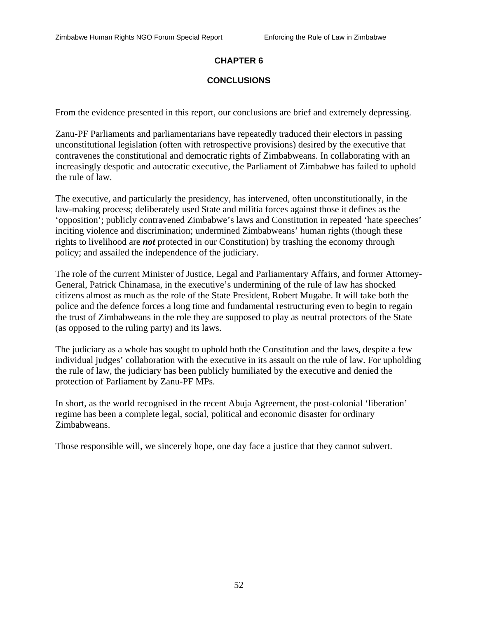#### **CHAPTER 6**

#### **CONCLUSIONS**

From the evidence presented in this report, our conclusions are brief and extremely depressing.

Zanu-PF Parliaments and parliamentarians have repeatedly traduced their electors in passing unconstitutional legislation (often with retrospective provisions) desired by the executive that contravenes the constitutional and democratic rights of Zimbabweans. In collaborating with an increasingly despotic and autocratic executive, the Parliament of Zimbabwe has failed to uphold the rule of law.

The executive, and particularly the presidency, has intervened, often unconstitutionally, in the law-making process; deliberately used State and militia forces against those it defines as the 'opposition'; publicly contravened Zimbabwe's laws and Constitution in repeated 'hate speeches' inciting violence and discrimination; undermined Zimbabweans' human rights (though these rights to livelihood are *not* protected in our Constitution) by trashing the economy through policy; and assailed the independence of the judiciary.

The role of the current Minister of Justice, Legal and Parliamentary Affairs, and former Attorney-General, Patrick Chinamasa, in the executive's undermining of the rule of law has shocked citizens almost as much as the role of the State President, Robert Mugabe. It will take both the police and the defence forces a long time and fundamental restructuring even to begin to regain the trust of Zimbabweans in the role they are supposed to play as neutral protectors of the State (as opposed to the ruling party) and its laws.

The judiciary as a whole has sought to uphold both the Constitution and the laws, despite a few individual judges' collaboration with the executive in its assault on the rule of law. For upholding the rule of law, the judiciary has been publicly humiliated by the executive and denied the protection of Parliament by Zanu-PF MPs.

In short, as the world recognised in the recent Abuja Agreement, the post-colonial 'liberation' regime has been a complete legal, social, political and economic disaster for ordinary Zimbabweans.

Those responsible will, we sincerely hope, one day face a justice that they cannot subvert.